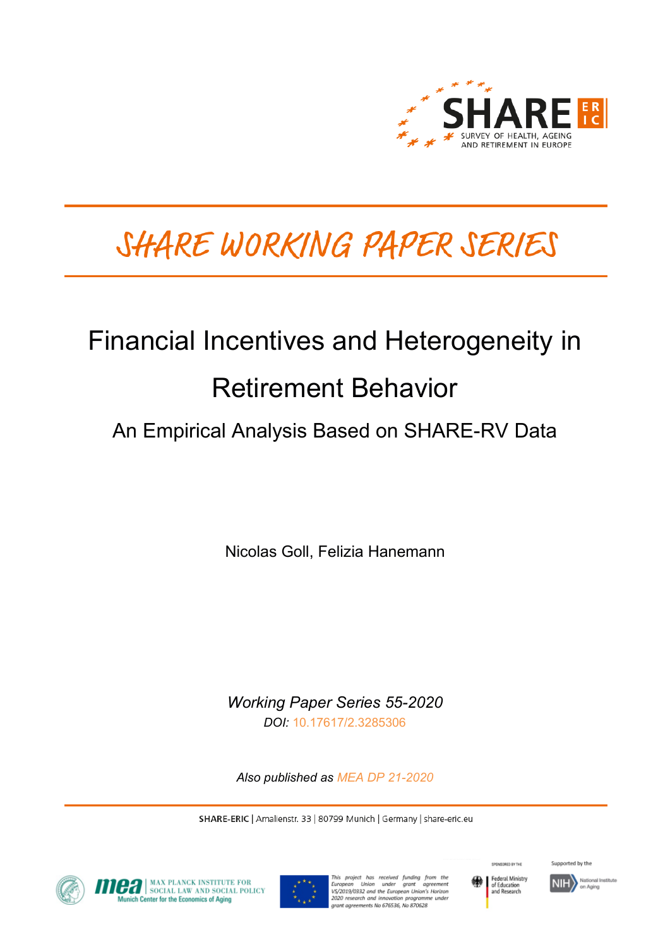

# SHARE WORKING PAPER SERIES

# Financial Incentives and Heterogeneity in Retirement Behavior

# An Empirical Analysis Based on SHARE-RV Data

Nicolas Goll, Felizia Hanemann

*Working Paper Series 55-2020 DOI:* [10.17617/2.3285306](https://doi.org/10.17617/2.3285306)

*Also published as [MEA DP 21-2020](https://www.mpisoc.mpg.de/sozialpolitik-mea/publikationen/detail/publication/financial-incentives-and-heterogeneity-in-retirement-behavior-an-empirical-analysis-based-on-share-rv-data/)*

SHARE-ERIC | Amalienstr. 33 | 80799 Munich | Germany | share-eric.eu



**CA** MAX PLANCK INSTITUTE FOR nich Center for the Economics of Aging



This project has received funding from the<br>European Union under grant agreement<br>VS/2019/0332 and the European-Union's Horizon 2020 research and innovation programme under rant agreements No 676536, No 870628



Supported by the

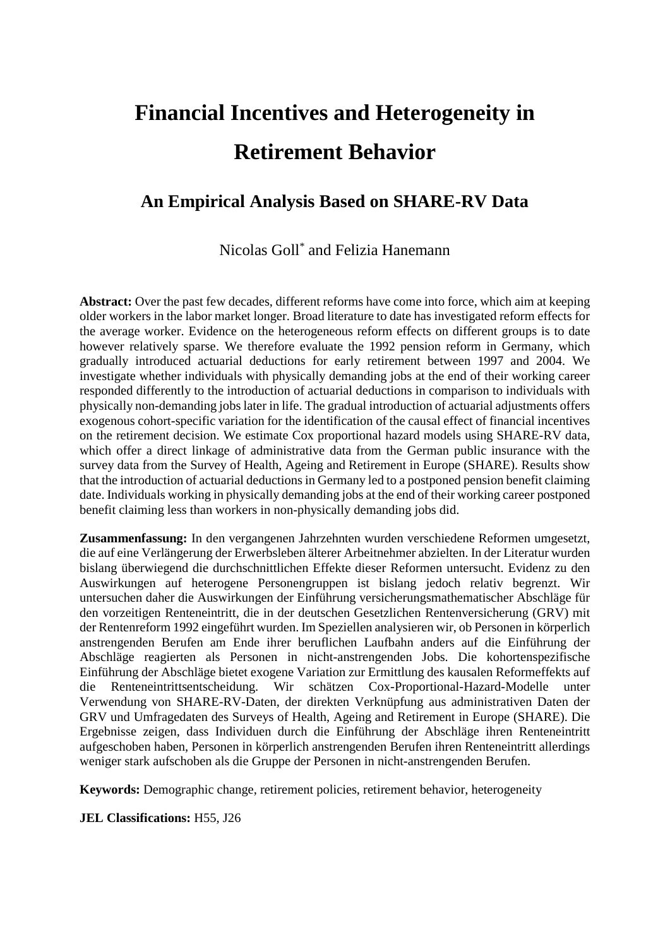# **Financial Incentives and Heterogeneity in Retirement Behavior**

## **An Empirical Analysis Based on SHARE-RV Data**

Nicolas Goll\* and Felizia Hanemann

**Abstract:** Over the past few decades, different reforms have come into force, which aim at keeping older workers in the labor market longer. Broad literature to date has investigated reform effects for the average worker. Evidence on the heterogeneous reform effects on different groups is to date however relatively sparse. We therefore evaluate the 1992 pension reform in Germany, which gradually introduced actuarial deductions for early retirement between 1997 and 2004. We investigate whether individuals with physically demanding jobs at the end of their working career responded differently to the introduction of actuarial deductions in comparison to individuals with physically non-demanding jobs later in life. The gradual introduction of actuarial adjustments offers exogenous cohort-specific variation for the identification of the causal effect of financial incentives on the retirement decision. We estimate Cox proportional hazard models using SHARE-RV data, which offer a direct linkage of administrative data from the German public insurance with the survey data from the Survey of Health, Ageing and Retirement in Europe (SHARE). Results show that the introduction of actuarial deductions in Germany led to a postponed pension benefit claiming date. Individuals working in physically demanding jobs at the end of their working career postponed benefit claiming less than workers in non-physically demanding jobs did.

**Zusammenfassung:** In den vergangenen Jahrzehnten wurden verschiedene Reformen umgesetzt, die auf eine Verlängerung der Erwerbsleben älterer Arbeitnehmer abzielten. In der Literatur wurden bislang überwiegend die durchschnittlichen Effekte dieser Reformen untersucht. Evidenz zu den Auswirkungen auf heterogene Personengruppen ist bislang jedoch relativ begrenzt. Wir untersuchen daher die Auswirkungen der Einführung versicherungsmathematischer Abschläge für den vorzeitigen Renteneintritt, die in der deutschen Gesetzlichen Rentenversicherung (GRV) mit der Rentenreform 1992 eingeführt wurden. Im Speziellen analysieren wir, ob Personen in körperlich anstrengenden Berufen am Ende ihrer beruflichen Laufbahn anders auf die Einführung der Abschläge reagierten als Personen in nicht-anstrengenden Jobs. Die kohortenspezifische Einführung der Abschläge bietet exogene Variation zur Ermittlung des kausalen Reformeffekts auf die Renteneintrittsentscheidung. Wir schätzen Cox-Proportional-Hazard-Modelle unter Verwendung von SHARE-RV-Daten, der direkten Verknüpfung aus administrativen Daten der GRV und Umfragedaten des Surveys of Health, Ageing and Retirement in Europe (SHARE). Die Ergebnisse zeigen, dass Individuen durch die Einführung der Abschläge ihren Renteneintritt aufgeschoben haben, Personen in körperlich anstrengenden Berufen ihren Renteneintritt allerdings weniger stark aufschoben als die Gruppe der Personen in nicht-anstrengenden Berufen.

**Keywords:** Demographic change, retirement policies, retirement behavior, heterogeneity

**JEL Classifications:** H55, J26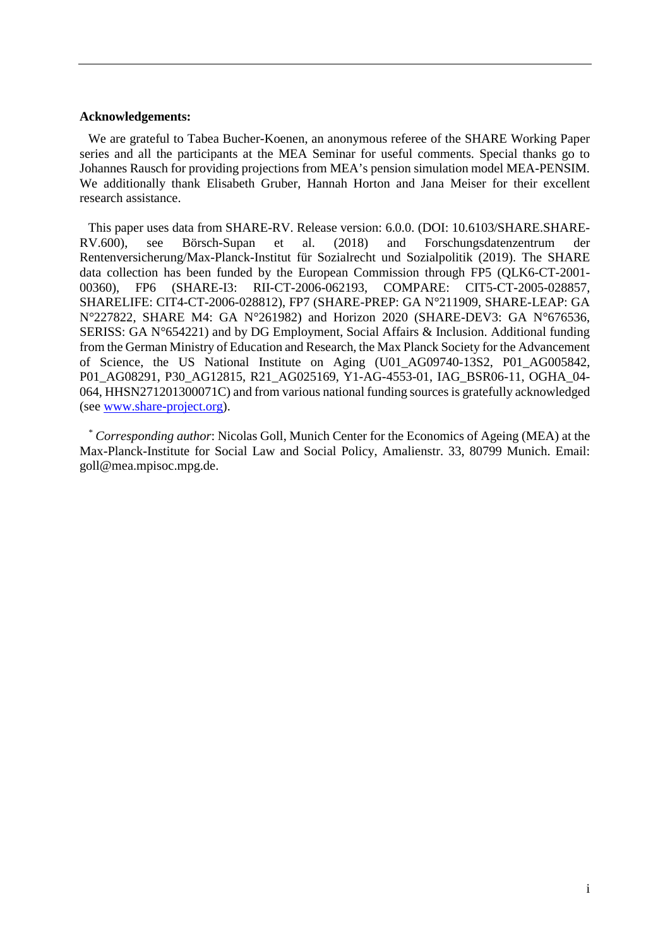#### **Acknowledgements:**

We are grateful to Tabea Bucher-Koenen, an anonymous referee of the SHARE Working Paper series and all the participants at the MEA Seminar for useful comments. Special thanks go to Johannes Rausch for providing projections from MEA's pension simulation model MEA-PENSIM. We additionally thank Elisabeth Gruber, Hannah Horton and Jana Meiser for their excellent research assistance.

This paper uses data from SHARE-RV. Release version: 6.0.0. (DOI: 10.6103/SHARE.SHARE-RV.600), see Börsch-Supan et al. (2018) and Forschungsdatenzentrum Rentenversicherung/Max-Planck-Institut für Sozialrecht und Sozialpolitik (2019). The SHARE data collection has been funded by the European Commission through FP5 (QLK6-CT-2001- 00360), FP6 (SHARE-I3: RII-CT-2006-062193, COMPARE: CIT5-CT-2005-028857, SHARELIFE: CIT4-CT-2006-028812), FP7 (SHARE-PREP: GA N°211909, SHARE-LEAP: GA N°227822, SHARE M4: GA N°261982) and Horizon 2020 (SHARE-DEV3: GA N°676536, SERISS: GA N°654221) and by DG Employment, Social Affairs & Inclusion. Additional funding from the German Ministry of Education and Research, the Max Planck Society for the Advancement of Science, the US National Institute on Aging (U01\_AG09740-13S2, P01\_AG005842, P01\_AG08291, P30\_AG12815, R21\_AG025169, Y1-AG-4553-01, IAG\_BSR06-11, OGHA\_04- 064, HHSN271201300071C) and from various national funding sources is gratefully acknowledged (see [www.share-project.org\)](http://www.share-project.org/).

*\* Corresponding author*: Nicolas Goll, Munich Center for the Economics of Ageing (MEA) at the Max-Planck-Institute for Social Law and Social Policy, Amalienstr. 33, 80799 Munich. Email: goll@mea.mpisoc.mpg.de.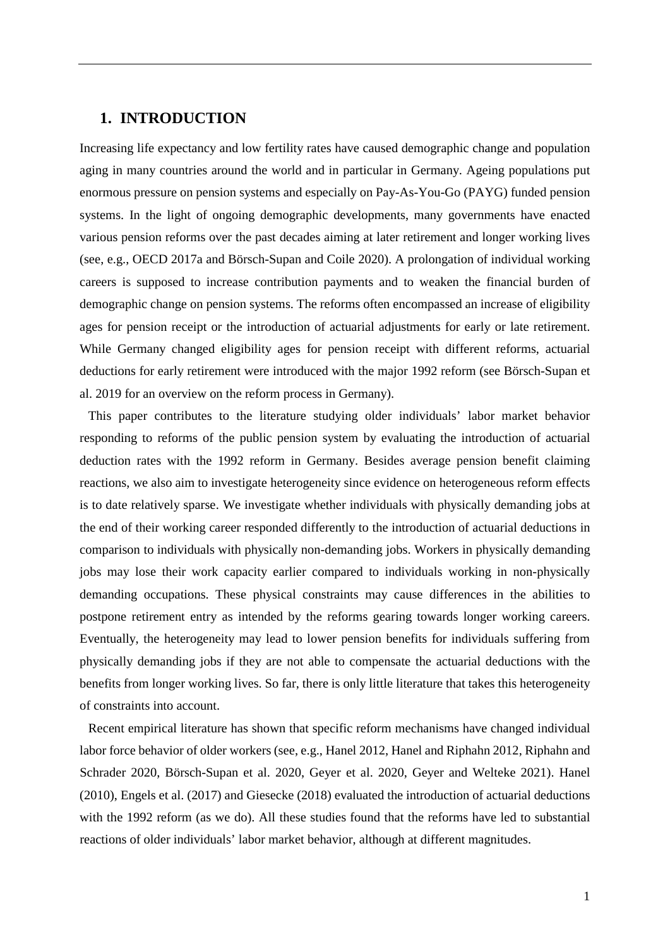#### **1. INTRODUCTION**

Increasing life expectancy and low fertility rates have caused demographic change and population aging in many countries around the world and in particular in Germany. Ageing populations put enormous pressure on pension systems and especially on Pay-As-You-Go (PAYG) funded pension systems. In the light of ongoing demographic developments, many governments have enacted various pension reforms over the past decades aiming at later retirement and longer working lives (see, e.g., OECD 2017a and Börsch-Supan and Coile 2020). A prolongation of individual working careers is supposed to increase contribution payments and to weaken the financial burden of demographic change on pension systems. The reforms often encompassed an increase of eligibility ages for pension receipt or the introduction of actuarial adjustments for early or late retirement. While Germany changed eligibility ages for pension receipt with different reforms, actuarial deductions for early retirement were introduced with the major 1992 reform (see Börsch-Supan et al. 2019 for an overview on the reform process in Germany).

This paper contributes to the literature studying older individuals' labor market behavior responding to reforms of the public pension system by evaluating the introduction of actuarial deduction rates with the 1992 reform in Germany. Besides average pension benefit claiming reactions, we also aim to investigate heterogeneity since evidence on heterogeneous reform effects is to date relatively sparse. We investigate whether individuals with physically demanding jobs at the end of their working career responded differently to the introduction of actuarial deductions in comparison to individuals with physically non-demanding jobs. Workers in physically demanding jobs may lose their work capacity earlier compared to individuals working in non-physically demanding occupations. These physical constraints may cause differences in the abilities to postpone retirement entry as intended by the reforms gearing towards longer working careers. Eventually, the heterogeneity may lead to lower pension benefits for individuals suffering from physically demanding jobs if they are not able to compensate the actuarial deductions with the benefits from longer working lives. So far, there is only little literature that takes this heterogeneity of constraints into account.

Recent empirical literature has shown that specific reform mechanisms have changed individual labor force behavior of older workers (see, e.g., Hanel 2012, Hanel and Riphahn 2012, Riphahn and Schrader 2020, Börsch-Supan et al. 2020, Geyer et al. 2020, Geyer and Welteke 2021). Hanel (2010), Engels et al. (2017) and Giesecke (2018) evaluated the introduction of actuarial deductions with the 1992 reform (as we do). All these studies found that the reforms have led to substantial reactions of older individuals' labor market behavior, although at different magnitudes.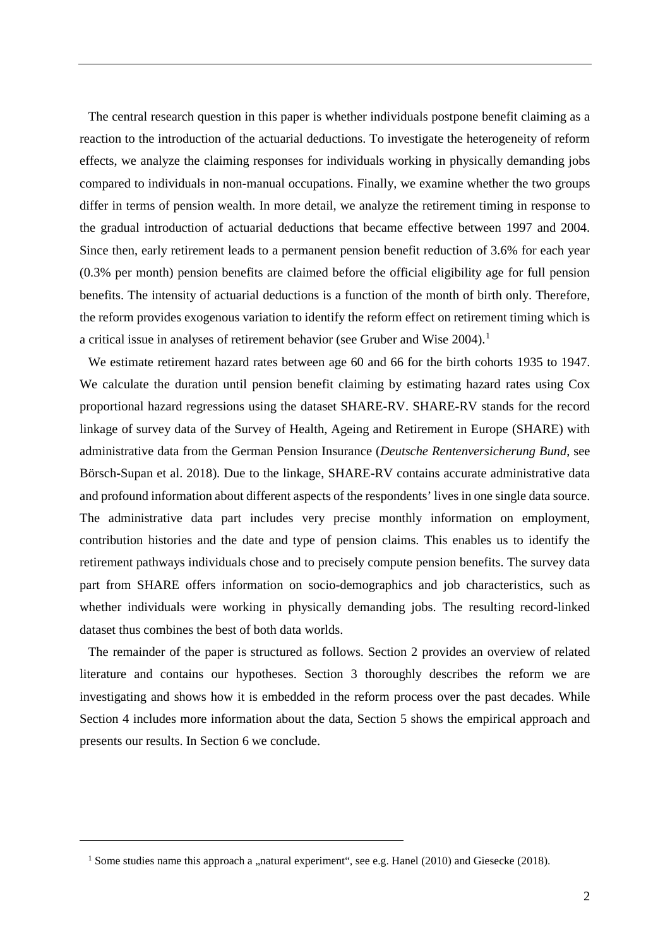The central research question in this paper is whether individuals postpone benefit claiming as a reaction to the introduction of the actuarial deductions. To investigate the heterogeneity of reform effects, we analyze the claiming responses for individuals working in physically demanding jobs compared to individuals in non-manual occupations. Finally, we examine whether the two groups differ in terms of pension wealth. In more detail, we analyze the retirement timing in response to the gradual introduction of actuarial deductions that became effective between 1997 and 2004. Since then, early retirement leads to a permanent pension benefit reduction of 3.6% for each year (0.3% per month) pension benefits are claimed before the official eligibility age for full pension benefits. The intensity of actuarial deductions is a function of the month of birth only. Therefore, the reform provides exogenous variation to identify the reform effect on retirement timing which is a critical issue in analyses of retirement behavior (see Gruber and Wise 2004).<sup>[1](#page-4-0)</sup>

We estimate retirement hazard rates between age 60 and 66 for the birth cohorts 1935 to 1947. We calculate the duration until pension benefit claiming by estimating hazard rates using Cox proportional hazard regressions using the dataset SHARE-RV. SHARE-RV stands for the record linkage of survey data of the Survey of Health, Ageing and Retirement in Europe (SHARE) with administrative data from the German Pension Insurance (*Deutsche Rentenversicherung Bund*, see Börsch-Supan et al. 2018). Due to the linkage, SHARE-RV contains accurate administrative data and profound information about different aspects of the respondents' lives in one single data source. The administrative data part includes very precise monthly information on employment, contribution histories and the date and type of pension claims. This enables us to identify the retirement pathways individuals chose and to precisely compute pension benefits. The survey data part from SHARE offers information on socio-demographics and job characteristics, such as whether individuals were working in physically demanding jobs. The resulting record-linked dataset thus combines the best of both data worlds.

The remainder of the paper is structured as follows. Section 2 provides an overview of related literature and contains our hypotheses. Section 3 thoroughly describes the reform we are investigating and shows how it is embedded in the reform process over the past decades. While Section 4 includes more information about the data, Section 5 shows the empirical approach and presents our results. In Section 6 we conclude.

<span id="page-4-0"></span> $\overline{a}$ 

<sup>&</sup>lt;sup>1</sup> Some studies name this approach a "natural experiment", see e.g. Hanel (2010) and Giesecke (2018).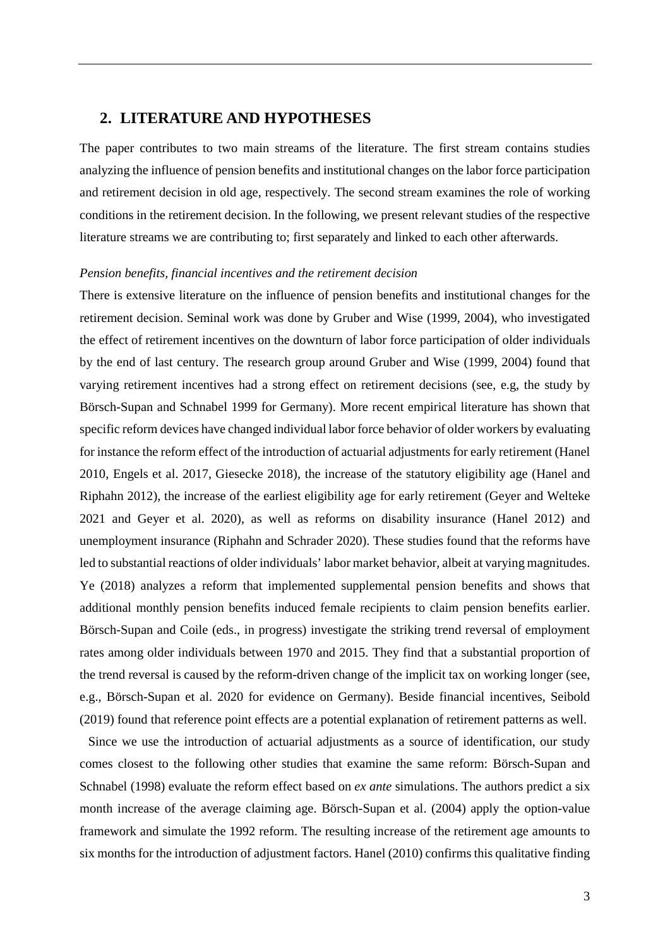#### **2. LITERATURE AND HYPOTHESES**

The paper contributes to two main streams of the literature. The first stream contains studies analyzing the influence of pension benefits and institutional changes on the labor force participation and retirement decision in old age, respectively. The second stream examines the role of working conditions in the retirement decision. In the following, we present relevant studies of the respective literature streams we are contributing to; first separately and linked to each other afterwards.

#### *Pension benefits, financial incentives and the retirement decision*

There is extensive literature on the influence of pension benefits and institutional changes for the retirement decision. Seminal work was done by Gruber and Wise (1999, 2004), who investigated the effect of retirement incentives on the downturn of labor force participation of older individuals by the end of last century. The research group around Gruber and Wise (1999, 2004) found that varying retirement incentives had a strong effect on retirement decisions (see, e.g, the study by Börsch-Supan and Schnabel 1999 for Germany). More recent empirical literature has shown that specific reform devices have changed individual labor force behavior of older workers by evaluating for instance the reform effect of the introduction of actuarial adjustments for early retirement (Hanel 2010, Engels et al. 2017, Giesecke 2018), the increase of the statutory eligibility age (Hanel and Riphahn 2012), the increase of the earliest eligibility age for early retirement (Geyer and Welteke 2021 and Geyer et al. 2020), as well as reforms on disability insurance (Hanel 2012) and unemployment insurance (Riphahn and Schrader 2020). These studies found that the reforms have led to substantial reactions of older individuals' labor market behavior, albeit at varying magnitudes. Ye (2018) analyzes a reform that implemented supplemental pension benefits and shows that additional monthly pension benefits induced female recipients to claim pension benefits earlier. Börsch-Supan and Coile (eds., in progress) investigate the striking trend reversal of employment rates among older individuals between 1970 and 2015. They find that a substantial proportion of the trend reversal is caused by the reform-driven change of the implicit tax on working longer (see, e.g., Börsch-Supan et al. 2020 for evidence on Germany). Beside financial incentives, Seibold (2019) found that reference point effects are a potential explanation of retirement patterns as well.

Since we use the introduction of actuarial adjustments as a source of identification, our study comes closest to the following other studies that examine the same reform: Börsch-Supan and Schnabel (1998) evaluate the reform effect based on *ex ante* simulations. The authors predict a six month increase of the average claiming age. Börsch-Supan et al. (2004) apply the option-value framework and simulate the 1992 reform. The resulting increase of the retirement age amounts to six months for the introduction of adjustment factors. Hanel (2010) confirms this qualitative finding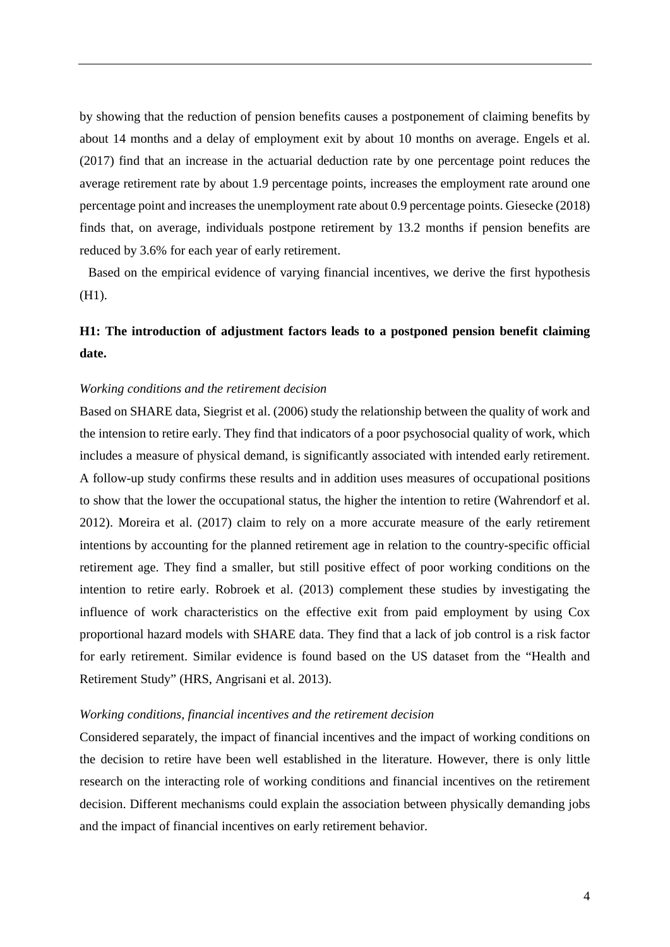by showing that the reduction of pension benefits causes a postponement of claiming benefits by about 14 months and a delay of employment exit by about 10 months on average. Engels et al. (2017) find that an increase in the actuarial deduction rate by one percentage point reduces the average retirement rate by about 1.9 percentage points, increases the employment rate around one percentage point and increases the unemployment rate about 0.9 percentage points. Giesecke (2018) finds that, on average, individuals postpone retirement by 13.2 months if pension benefits are reduced by 3.6% for each year of early retirement.

Based on the empirical evidence of varying financial incentives, we derive the first hypothesis (H1).

### **H1: The introduction of adjustment factors leads to a postponed pension benefit claiming date.**

#### *Working conditions and the retirement decision*

Based on SHARE data, Siegrist et al. (2006) study the relationship between the quality of work and the intension to retire early. They find that indicators of a poor psychosocial quality of work, which includes a measure of physical demand, is significantly associated with intended early retirement. A follow-up study confirms these results and in addition uses measures of occupational positions to show that the lower the occupational status, the higher the intention to retire (Wahrendorf et al. 2012). Moreira et al. (2017) claim to rely on a more accurate measure of the early retirement intentions by accounting for the planned retirement age in relation to the country-specific official retirement age. They find a smaller, but still positive effect of poor working conditions on the intention to retire early. Robroek et al. (2013) complement these studies by investigating the influence of work characteristics on the effective exit from paid employment by using Cox proportional hazard models with SHARE data. They find that a lack of job control is a risk factor for early retirement. Similar evidence is found based on the US dataset from the "Health and Retirement Study" (HRS, Angrisani et al. 2013).

#### *Working conditions, financial incentives and the retirement decision*

Considered separately, the impact of financial incentives and the impact of working conditions on the decision to retire have been well established in the literature. However, there is only little research on the interacting role of working conditions and financial incentives on the retirement decision. Different mechanisms could explain the association between physically demanding jobs and the impact of financial incentives on early retirement behavior.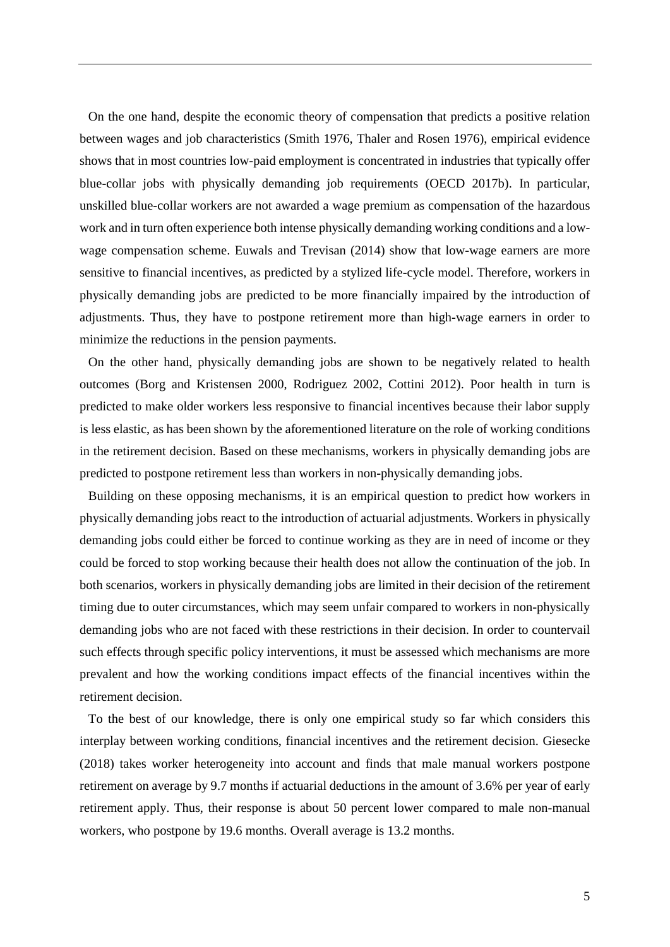On the one hand, despite the economic theory of compensation that predicts a positive relation between wages and job characteristics (Smith 1976, Thaler and Rosen 1976), empirical evidence shows that in most countries low-paid employment is concentrated in industries that typically offer blue-collar jobs with physically demanding job requirements (OECD 2017b). In particular, unskilled blue-collar workers are not awarded a wage premium as compensation of the hazardous work and in turn often experience both intense physically demanding working conditions and a lowwage compensation scheme. Euwals and Trevisan (2014) show that low-wage earners are more sensitive to financial incentives, as predicted by a stylized life-cycle model. Therefore, workers in physically demanding jobs are predicted to be more financially impaired by the introduction of adjustments. Thus, they have to postpone retirement more than high-wage earners in order to minimize the reductions in the pension payments.

On the other hand, physically demanding jobs are shown to be negatively related to health outcomes (Borg and Kristensen 2000, Rodriguez 2002, Cottini 2012). Poor health in turn is predicted to make older workers less responsive to financial incentives because their labor supply is less elastic, as has been shown by the aforementioned literature on the role of working conditions in the retirement decision. Based on these mechanisms, workers in physically demanding jobs are predicted to postpone retirement less than workers in non-physically demanding jobs.

Building on these opposing mechanisms, it is an empirical question to predict how workers in physically demanding jobs react to the introduction of actuarial adjustments. Workers in physically demanding jobs could either be forced to continue working as they are in need of income or they could be forced to stop working because their health does not allow the continuation of the job. In both scenarios, workers in physically demanding jobs are limited in their decision of the retirement timing due to outer circumstances, which may seem unfair compared to workers in non-physically demanding jobs who are not faced with these restrictions in their decision. In order to countervail such effects through specific policy interventions, it must be assessed which mechanisms are more prevalent and how the working conditions impact effects of the financial incentives within the retirement decision.

To the best of our knowledge, there is only one empirical study so far which considers this interplay between working conditions, financial incentives and the retirement decision. Giesecke (2018) takes worker heterogeneity into account and finds that male manual workers postpone retirement on average by 9.7 months if actuarial deductions in the amount of 3.6% per year of early retirement apply. Thus, their response is about 50 percent lower compared to male non-manual workers, who postpone by 19.6 months. Overall average is 13.2 months.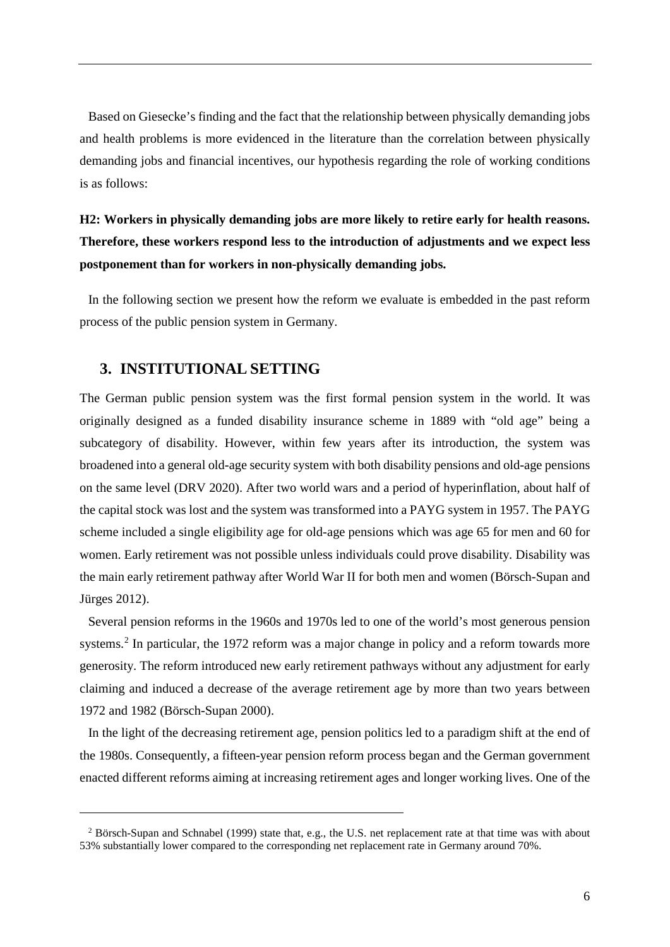Based on Giesecke's finding and the fact that the relationship between physically demanding jobs and health problems is more evidenced in the literature than the correlation between physically demanding jobs and financial incentives, our hypothesis regarding the role of working conditions is as follows:

# **H2: Workers in physically demanding jobs are more likely to retire early for health reasons. Therefore, these workers respond less to the introduction of adjustments and we expect less postponement than for workers in non-physically demanding jobs.**

In the following section we present how the reform we evaluate is embedded in the past reform process of the public pension system in Germany.

#### **3. INSTITUTIONAL SETTING**

 $\overline{a}$ 

The German public pension system was the first formal pension system in the world. It was originally designed as a funded disability insurance scheme in 1889 with "old age" being a subcategory of disability. However, within few years after its introduction, the system was broadened into a general old-age security system with both disability pensions and old-age pensions on the same level (DRV 2020). After two world wars and a period of hyperinflation, about half of the capital stock was lost and the system was transformed into a PAYG system in 1957. The PAYG scheme included a single eligibility age for old-age pensions which was age 65 for men and 60 for women. Early retirement was not possible unless individuals could prove disability. Disability was the main early retirement pathway after World War II for both men and women (Börsch-Supan and Jürges 2012).

Several pension reforms in the 1960s and 1970s led to one of the world's most generous pension systems.<sup>[2](#page-8-0)</sup> In particular, the 1972 reform was a major change in policy and a reform towards more generosity. The reform introduced new early retirement pathways without any adjustment for early claiming and induced a decrease of the average retirement age by more than two years between 1972 and 1982 (Börsch-Supan 2000).

In the light of the decreasing retirement age, pension politics led to a paradigm shift at the end of the 1980s. Consequently, a fifteen-year pension reform process began and the German government enacted different reforms aiming at increasing retirement ages and longer working lives. One of the

<span id="page-8-0"></span><sup>2</sup> Börsch-Supan and Schnabel (1999) state that, e.g., the U.S. net replacement rate at that time was with about 53% substantially lower compared to the corresponding net replacement rate in Germany around 70%.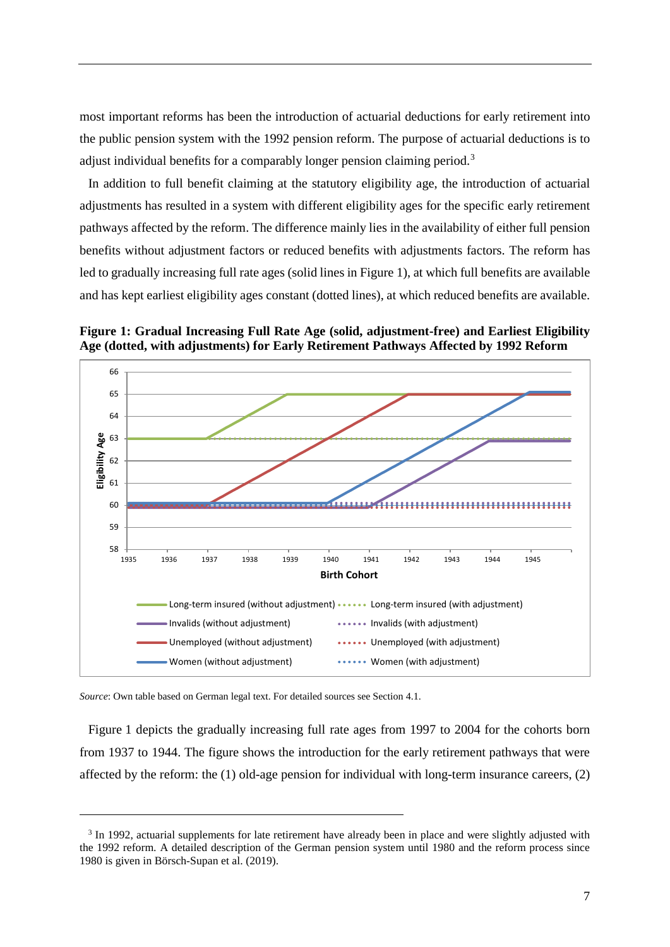most important reforms has been the introduction of actuarial deductions for early retirement into the public pension system with the 1992 pension reform. The purpose of actuarial deductions is to adjust individual benefits for a comparably longer pension claiming period.<sup>[3](#page-9-0)</sup>

In addition to full benefit claiming at the statutory eligibility age, the introduction of actuarial adjustments has resulted in a system with different eligibility ages for the specific early retirement pathways affected by the reform. The difference mainly lies in the availability of either full pension benefits without adjustment factors or reduced benefits with adjustments factors. The reform has led to gradually increasing full rate ages (solid lines in Figure 1), at which full benefits are available and has kept earliest eligibility ages constant (dotted lines), at which reduced benefits are available.

**Figure 1: Gradual Increasing Full Rate Age (solid, adjustment-free) and Earliest Eligibility Age (dotted, with adjustments) for Early Retirement Pathways Affected by 1992 Reform**



*Source*: Own table based on German legal text. For detailed sources see Section 4.1.

 $\overline{a}$ 

Figure 1 depicts the gradually increasing full rate ages from 1997 to 2004 for the cohorts born from 1937 to 1944. The figure shows the introduction for the early retirement pathways that were affected by the reform: the (1) old-age pension for individual with long-term insurance careers, (2)

<span id="page-9-0"></span><sup>&</sup>lt;sup>3</sup> In 1992, actuarial supplements for late retirement have already been in place and were slightly adjusted with the 1992 reform. A detailed description of the German pension system until 1980 and the reform process since 1980 is given in Börsch-Supan et al. (2019).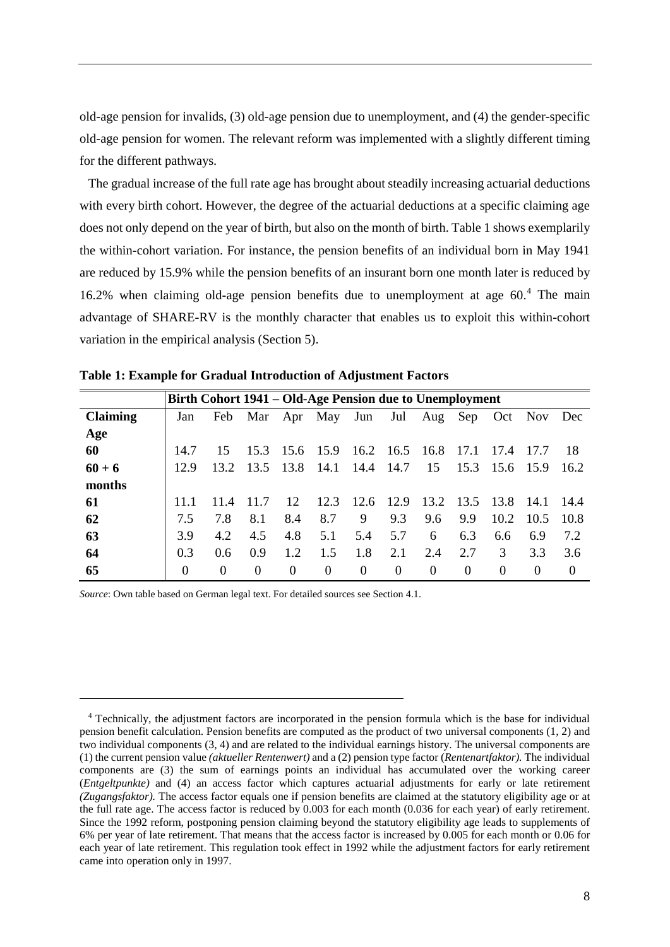old-age pension for invalids, (3) old-age pension due to unemployment, and (4) the gender-specific old-age pension for women. The relevant reform was implemented with a slightly different timing for the different pathways.

The gradual increase of the full rate age has brought about steadily increasing actuarial deductions with every birth cohort. However, the degree of the actuarial deductions at a specific claiming age does not only depend on the year of birth, but also on the month of birth. Table 1 shows exemplarily the within-cohort variation. For instance, the pension benefits of an individual born in May 1941 are reduced by 15.9% while the pension benefits of an insurant born one month later is reduced by 16.2% when claiming old-age pension benefits due to unemployment at age  $60<sup>4</sup>$  $60<sup>4</sup>$  $60<sup>4</sup>$ . The main advantage of SHARE-RV is the monthly character that enables us to exploit this within-cohort variation in the empirical analysis (Section 5).

|                 |          | Birth Cohort 1941 – Old-Age Pension due to Unemployment |          |          |                 |           |           |          |          |          |          |          |
|-----------------|----------|---------------------------------------------------------|----------|----------|-----------------|-----------|-----------|----------|----------|----------|----------|----------|
|                 |          |                                                         |          |          |                 |           |           |          |          |          |          |          |
| <b>Claiming</b> | Jan      | Feb                                                     |          |          | Mar Apr May Jun |           | Jul       | Aug      | Sep      | Oct      | Nov      | Dec      |
| Age             |          |                                                         |          |          |                 |           |           |          |          |          |          |          |
| 60              | 14.7     | 15                                                      | 15.3     | 15.6     | 15.9            |           | 16.2 16.5 | 16.8     | 17.1     | 17.4     | 17.7     | -18      |
| $60 + 6$        | 12.9     | 13.2                                                    | 13.5     | 13.8     | 14.1            | 14.4      | 14.7      | 15       | 15.3     | -15.6    | - 15.9   | 16.2     |
| months          |          |                                                         |          |          |                 |           |           |          |          |          |          |          |
| 61              | 11.1     | 11.4                                                    | 11.7     | 12       |                 | 12.3 12.6 | 12.9      | 13.2     | 13.5     | 13.8     | 14.1     | 14.4     |
| 62              | 7.5      | 7.8                                                     | 8.1      | 8.4      | 8.7             | 9         | 9.3       | 9.6      | 9.9      | 10.2     | 10.5     | 10.8     |
| 63              | 3.9      | 4.2                                                     | 4.5      | 4.8      | 5.1             | 5.4       | 5.7       | 6        | 6.3      | 6.6      | 6.9      | 7.2      |
| 64              | 0.3      | 0.6                                                     | 0.9      | 1.2      | 1.5             | 1.8       | 2.1       | 2.4      | 2.7      | 3        | 3.3      | 3.6      |
| 65              | $\Omega$ | $\theta$                                                | $\Omega$ | $\Omega$ | $\Omega$        | $\Omega$  | $\theta$  | $\Omega$ | $\Omega$ | $\Omega$ | $\Omega$ | $\Omega$ |

**Table 1: Example for Gradual Introduction of Adjustment Factors**

*Source*: Own table based on German legal text. For detailed sources see Section 4.1.

 $\ddot{\phantom{a}}$ 

<span id="page-10-0"></span><sup>4</sup> Technically, the adjustment factors are incorporated in the pension formula which is the base for individual pension benefit calculation. Pension benefits are computed as the product of two universal components (1, 2) and two individual components (3, 4) and are related to the individual earnings history. The universal components are (1) the current pension value *(aktueller Rentenwert)* and a (2) pension type factor (*Rentenartfaktor).* The individual components are (3) the sum of earnings points an individual has accumulated over the working career (*Entgeltpunkte)* and (4) an access factor which captures actuarial adjustments for early or late retirement *(Zugangsfaktor).* The access factor equals one if pension benefits are claimed at the statutory eligibility age or at the full rate age. The access factor is reduced by 0.003 for each month (0.036 for each year) of early retirement. Since the 1992 reform, postponing pension claiming beyond the statutory eligibility age leads to supplements of 6% per year of late retirement. That means that the access factor is increased by 0.005 for each month or 0.06 for each year of late retirement. This regulation took effect in 1992 while the adjustment factors for early retirement came into operation only in 1997.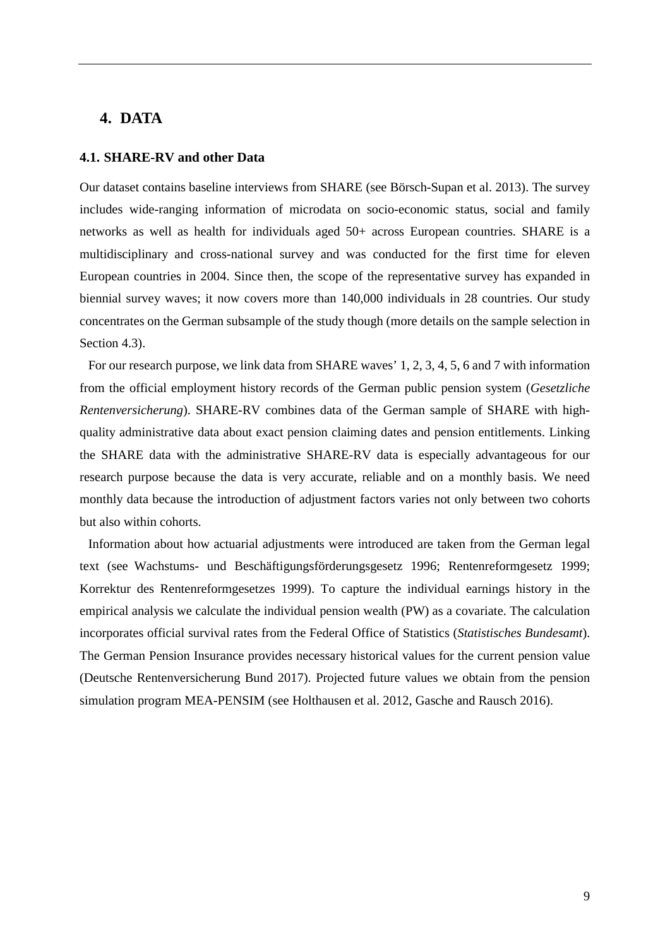#### **4. DATA**

#### **4.1. SHARE-RV and other Data**

Our dataset contains baseline interviews from SHARE (see Börsch-Supan et al. 2013). The survey includes wide-ranging information of microdata on socio-economic status, social and family networks as well as health for individuals aged 50+ across European countries. SHARE is a multidisciplinary and cross-national survey and was conducted for the first time for eleven European countries in 2004. Since then, the scope of the representative survey has expanded in biennial survey waves; it now covers more than 140,000 individuals in 28 countries. Our study concentrates on the German subsample of the study though (more details on the sample selection in Section 4.3).

For our research purpose, we link data from SHARE waves' 1, 2, 3, 4, 5, 6 and 7 with information from the official employment history records of the German public pension system (*Gesetzliche Rentenversicherung*). SHARE-RV combines data of the German sample of SHARE with highquality administrative data about exact pension claiming dates and pension entitlements. Linking the SHARE data with the administrative SHARE-RV data is especially advantageous for our research purpose because the data is very accurate, reliable and on a monthly basis. We need monthly data because the introduction of adjustment factors varies not only between two cohorts but also within cohorts.

Information about how actuarial adjustments were introduced are taken from the German legal text (see Wachstums- und Beschäftigungsförderungsgesetz 1996; Rentenreformgesetz 1999; Korrektur des Rentenreformgesetzes 1999). To capture the individual earnings history in the empirical analysis we calculate the individual pension wealth (PW) as a covariate. The calculation incorporates official survival rates from the Federal Office of Statistics (*Statistisches Bundesamt*). The German Pension Insurance provides necessary historical values for the current pension value (Deutsche Rentenversicherung Bund 2017). Projected future values we obtain from the pension simulation program MEA-PENSIM (see Holthausen et al. 2012, Gasche and Rausch 2016).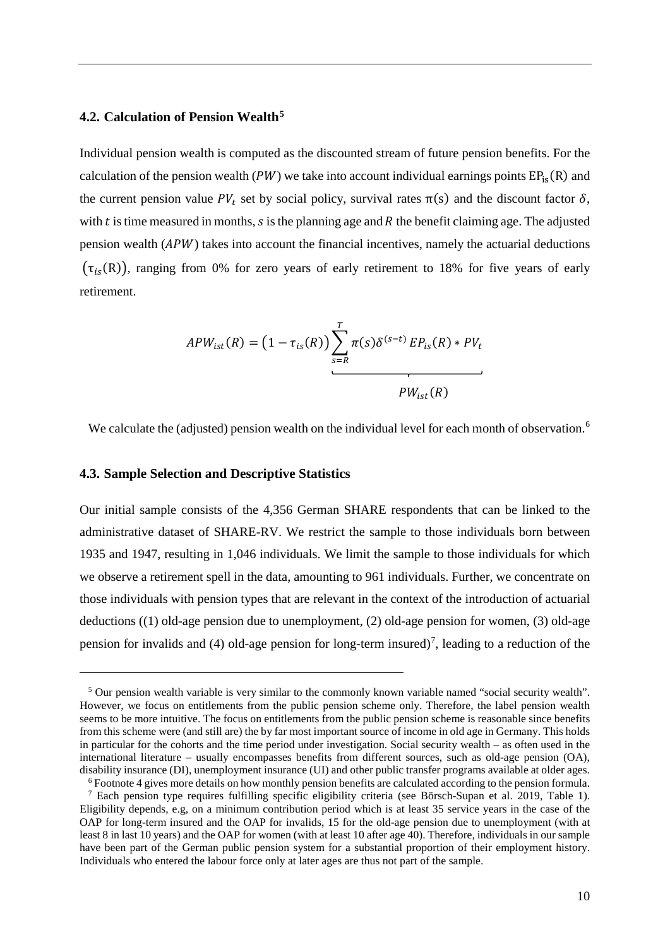#### **4.2. Calculation of Pension Wealth[5](#page-12-0)**

Individual pension wealth is computed as the discounted stream of future pension benefits. For the calculation of the pension wealth ( $PW$ ) we take into account individual earnings points  $EP_{is}(R)$  and the current pension value  $PV_t$  set by social policy, survival rates  $\pi(s)$  and the discount factor  $\delta$ , with  $t$  is time measured in months,  $s$  is the planning age and  $R$  the benefit claiming age. The adjusted pension wealth  $(APW)$  takes into account the financial incentives, namely the actuarial deductions  $(\tau_{is}(R))$ , ranging from 0% for zero years of early retirement to 18% for five years of early retirement.

$$
APW_{ist}(R) = \left(1 - \tau_{is}(R)\right) \sum_{s=R}^{T} \pi(s) \delta^{(s-t)} EP_{is}(R) * PV_{t}
$$

We calculate the (adjusted) pension wealth on the individual level for each month of observation.<sup>[6](#page-12-1)</sup>

#### **4.3. Sample Selection and Descriptive Statistics**

 $\overline{a}$ 

Our initial sample consists of the 4,356 German SHARE respondents that can be linked to the administrative dataset of SHARE-RV. We restrict the sample to those individuals born between 1935 and 1947, resulting in 1,046 individuals. We limit the sample to those individuals for which we observe a retirement spell in the data, amounting to 961 individuals. Further, we concentrate on those individuals with pension types that are relevant in the context of the introduction of actuarial deductions ((1) old-age pension due to unemployment, (2) old-age pension for women, (3) old-age pension for invalids and (4) old-age pension for long-term insured)<sup>[7](#page-12-2)</sup>, leading to a reduction of the

<span id="page-12-0"></span><sup>5</sup> Our pension wealth variable is very similar to the commonly known variable named "social security wealth". However, we focus on entitlements from the public pension scheme only. Therefore, the label pension wealth seems to be more intuitive. The focus on entitlements from the public pension scheme is reasonable since benefits from this scheme were (and still are) the by far most important source of income in old age in Germany. This holds in particular for the cohorts and the time period under investigation. Social security wealth – as often used in the international literature – usually encompasses benefits from different sources, such as old-age pension (OA), disability insurance (DI), unemployment insurance (UI) and other public transfer programs available at older ages.<br><sup>6</sup> Footnote 4 gives more details on how monthly pension benefits are calculated according to the pension f

<span id="page-12-2"></span><span id="page-12-1"></span> $7$  Each pension type requires fulfilling specific eligibility criteria (see Börsch-Supan et al. 2019, Table 1). Eligibility depends, e.g, on a minimum contribution period which is at least 35 service years in the case of the OAP for long-term insured and the OAP for invalids, 15 for the old-age pension due to unemployment (with at least 8 in last 10 years) and the OAP for women (with at least 10 after age 40). Therefore, individuals in our sample have been part of the German public pension system for a substantial proportion of their employment history. Individuals who entered the labour force only at later ages are thus not part of the sample.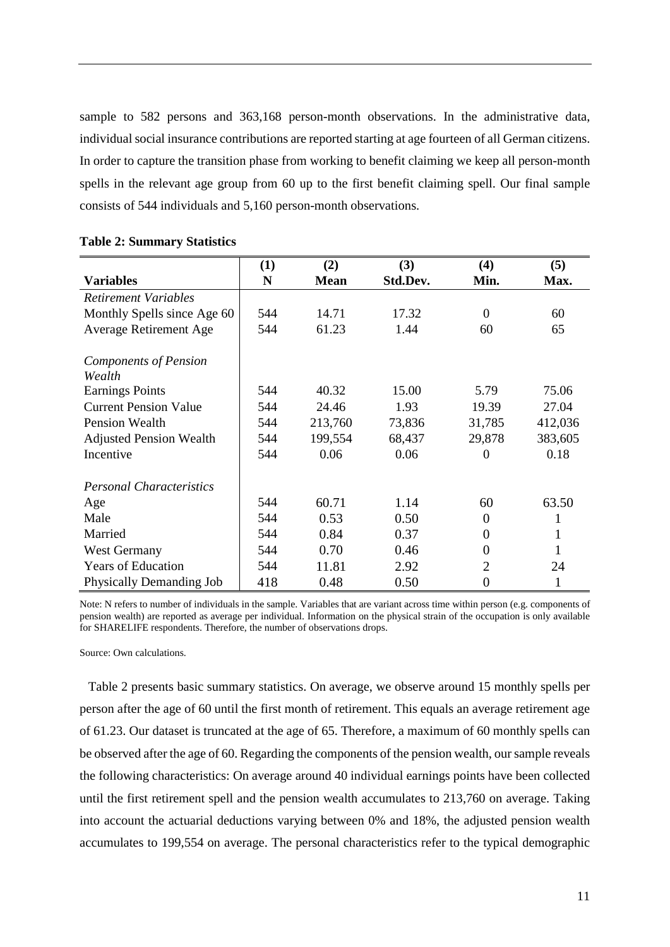sample to 582 persons and 363,168 person-month observations. In the administrative data, individual social insurance contributions are reported starting at age fourteen of all German citizens. In order to capture the transition phase from working to benefit claiming we keep all person-month spells in the relevant age group from 60 up to the first benefit claiming spell. Our final sample consists of 544 individuals and 5,160 person-month observations.

|                                                                                                                                                                          | (1)                             | (2)                                          | (3)                                       | (4)                                    | (5)                                          |
|--------------------------------------------------------------------------------------------------------------------------------------------------------------------------|---------------------------------|----------------------------------------------|-------------------------------------------|----------------------------------------|----------------------------------------------|
| <b>Variables</b>                                                                                                                                                         | N                               | <b>Mean</b>                                  | Std.Dev.                                  | Min.                                   | Max.                                         |
| <b>Retirement Variables</b>                                                                                                                                              |                                 |                                              |                                           |                                        |                                              |
| Monthly Spells since Age 60                                                                                                                                              | 544                             | 14.71                                        | 17.32                                     | $\Omega$                               | 60                                           |
| <b>Average Retirement Age</b>                                                                                                                                            | 544                             | 61.23                                        | 1.44                                      | 60                                     | 65                                           |
| <b>Components of Pension</b><br>Wealth<br><b>Earnings Points</b><br><b>Current Pension Value</b><br><b>Pension Wealth</b><br><b>Adjusted Pension Wealth</b><br>Incentive | 544<br>544<br>544<br>544<br>544 | 40.32<br>24.46<br>213,760<br>199,554<br>0.06 | 15.00<br>1.93<br>73,836<br>68,437<br>0.06 | 5.79<br>19.39<br>31,785<br>29,878<br>0 | 75.06<br>27.04<br>412,036<br>383,605<br>0.18 |
| <b>Personal Characteristics</b><br>Age                                                                                                                                   | 544                             | 60.71                                        | 1.14                                      | 60                                     | 63.50                                        |
| Male                                                                                                                                                                     | 544                             | 0.53                                         | 0.50                                      | 0                                      | 1                                            |
| Married                                                                                                                                                                  | 544                             | 0.84                                         | 0.37                                      | 0                                      | 1                                            |
| <b>West Germany</b>                                                                                                                                                      | 544                             | 0.70                                         | 0.46                                      | 0                                      | 1                                            |
| <b>Years of Education</b>                                                                                                                                                | 544                             | 11.81                                        | 2.92                                      | 2                                      | 24                                           |
| Physically Demanding Job                                                                                                                                                 | 418                             | 0.48                                         | 0.50                                      | 0                                      | 1                                            |

#### **Table 2: Summary Statistics**

Note: N refers to number of individuals in the sample. Variables that are variant across time within person (e.g. components of pension wealth) are reported as average per individual. Information on the physical strain of the occupation is only available for SHARELIFE respondents. Therefore, the number of observations drops.

Source: Own calculations.

Table 2 presents basic summary statistics. On average, we observe around 15 monthly spells per person after the age of 60 until the first month of retirement. This equals an average retirement age of 61.23. Our dataset is truncated at the age of 65. Therefore, a maximum of 60 monthly spells can be observed after the age of 60. Regarding the components of the pension wealth, our sample reveals the following characteristics: On average around 40 individual earnings points have been collected until the first retirement spell and the pension wealth accumulates to 213,760 on average. Taking into account the actuarial deductions varying between 0% and 18%, the adjusted pension wealth accumulates to 199,554 on average. The personal characteristics refer to the typical demographic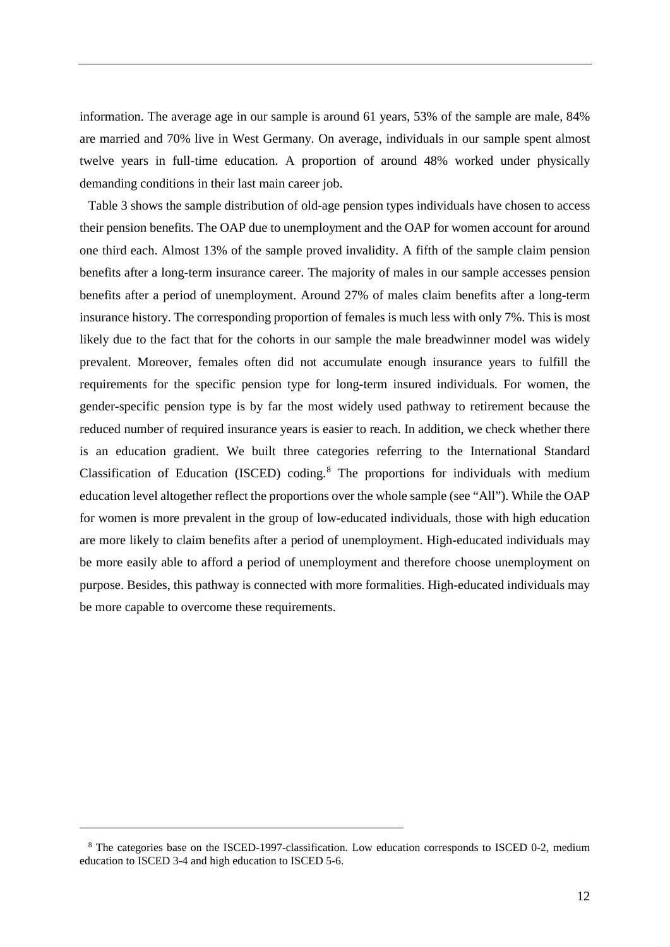information. The average age in our sample is around 61 years, 53% of the sample are male, 84% are married and 70% live in West Germany. On average, individuals in our sample spent almost twelve years in full-time education. A proportion of around 48% worked under physically demanding conditions in their last main career job.

Table 3 shows the sample distribution of old-age pension types individuals have chosen to access their pension benefits. The OAP due to unemployment and the OAP for women account for around one third each. Almost 13% of the sample proved invalidity. A fifth of the sample claim pension benefits after a long-term insurance career. The majority of males in our sample accesses pension benefits after a period of unemployment. Around 27% of males claim benefits after a long-term insurance history. The corresponding proportion of females is much less with only 7%. This is most likely due to the fact that for the cohorts in our sample the male breadwinner model was widely prevalent. Moreover, females often did not accumulate enough insurance years to fulfill the requirements for the specific pension type for long-term insured individuals. For women, the gender-specific pension type is by far the most widely used pathway to retirement because the reduced number of required insurance years is easier to reach. In addition, we check whether there is an education gradient. We built three categories referring to the International Standard Classification of Education (ISCED) coding.[8](#page-14-0) The proportions for individuals with medium education level altogether reflect the proportions over the whole sample (see "All"). While the OAP for women is more prevalent in the group of low-educated individuals, those with high education are more likely to claim benefits after a period of unemployment. High-educated individuals may be more easily able to afford a period of unemployment and therefore choose unemployment on purpose. Besides, this pathway is connected with more formalities. High-educated individuals may be more capable to overcome these requirements.

 $\overline{a}$ 

<span id="page-14-0"></span><sup>8</sup> The categories base on the ISCED-1997-classification. Low education corresponds to ISCED 0-2, medium education to ISCED 3-4 and high education to ISCED 5-6.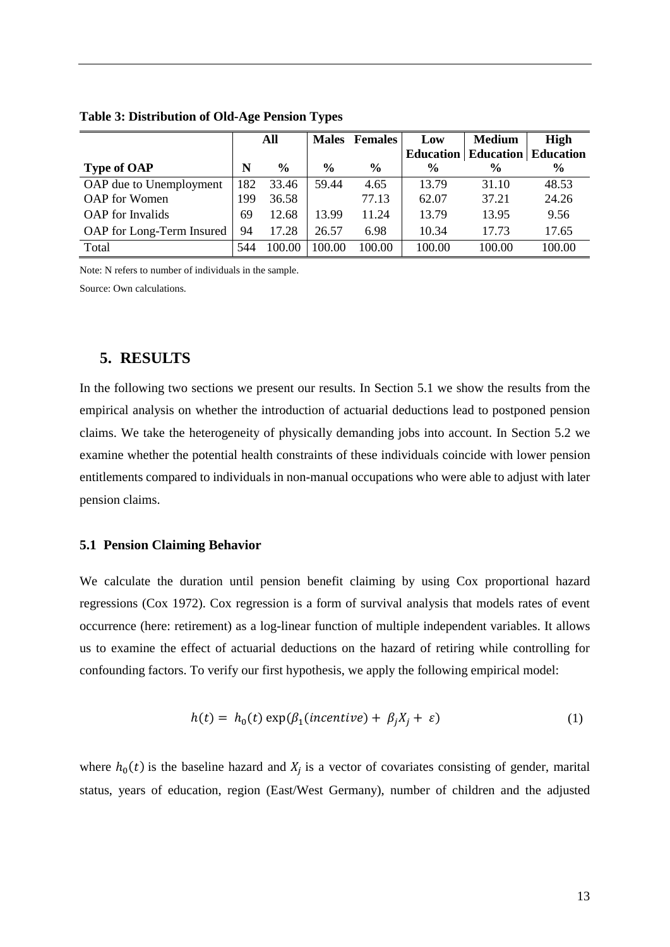|                           | All |               |               | <b>Males</b> Females | Low              | <b>Medium</b>              | <b>High</b>   |
|---------------------------|-----|---------------|---------------|----------------------|------------------|----------------------------|---------------|
|                           |     |               |               |                      | <b>Education</b> | <b>Education Education</b> |               |
| <b>Type of OAP</b>        | N   | $\frac{0}{0}$ | $\frac{0}{0}$ | $\frac{6}{9}$        | $\frac{0}{0}$    | $\frac{6}{6}$              | $\frac{6}{9}$ |
| OAP due to Unemployment   | 182 | 33.46         | 59.44         | 4.65                 | 13.79            | 31.10                      | 48.53         |
| OAP for Women             | 199 | 36.58         |               | 77.13                | 62.07            | 37.21                      | 24.26         |
| <b>OAP</b> for Invalids   | 69  | 12.68         | 13.99         | 11.24                | 13.79            | 13.95                      | 9.56          |
| OAP for Long-Term Insured | 94  | 17.28         | 26.57         | 6.98                 | 10.34            | 17.73                      | 17.65         |
| Total                     | 544 | 100.00        | 100.00        | 100.00               | 100.00           | 100.00                     | 100.00        |

**Table 3: Distribution of Old-Age Pension Types**

Note: N refers to number of individuals in the sample.

Source: Own calculations.

#### **5. RESULTS**

In the following two sections we present our results. In Section 5.1 we show the results from the empirical analysis on whether the introduction of actuarial deductions lead to postponed pension claims. We take the heterogeneity of physically demanding jobs into account. In Section 5.2 we examine whether the potential health constraints of these individuals coincide with lower pension entitlements compared to individuals in non-manual occupations who were able to adjust with later pension claims.

#### **5.1 Pension Claiming Behavior**

We calculate the duration until pension benefit claiming by using Cox proportional hazard regressions (Cox [1972\)](https://link.springer.com/article/10.1007/s00420-009-0417-6#ref-CR4). Cox regression is a form of survival analysis that models rates of event occurrence (here: retirement) as a log-linear function of multiple independent variables. It allows us to examine the effect of actuarial deductions on the hazard of retiring while controlling for confounding factors. To verify our first hypothesis, we apply the following empirical model:

$$
h(t) = h_0(t) \exp(\beta_1(incentive) + \beta_j X_j + \varepsilon)
$$
 (1)

where  $h_0(t)$  is the baseline hazard and  $X_i$  is a vector of covariates consisting of gender, marital status, years of education, region (East/West Germany), number of children and the adjusted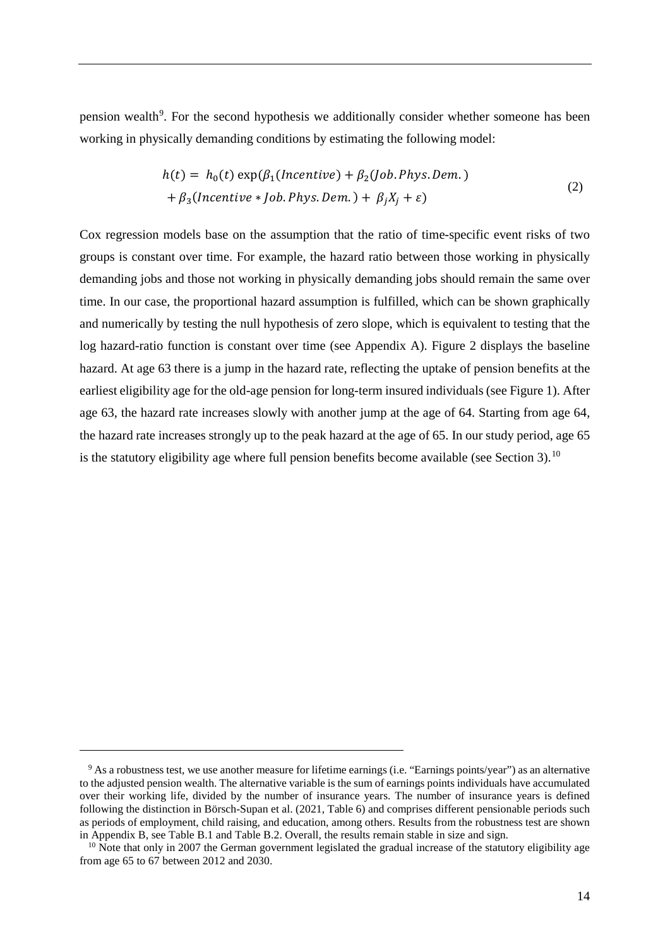pension wealth<sup>[9](#page-16-0)</sup>. For the second hypothesis we additionally consider whether someone has been working in physically demanding conditions by estimating the following model:

$$
h(t) = h_0(t) \exp(\beta_1(Incentive) + \beta_2(Job. Phys. Dem.)
$$
  
+  $\beta_3(Incentive * Job. Phys. Dem.) + \beta_j X_j + \varepsilon)$  (2)

Cox regression models base on the assumption that the ratio of time-specific event risks of two groups is constant over time. For example, the hazard ratio between those working in physically demanding jobs and those not working in physically demanding jobs should remain the same over time. In our case, the proportional hazard assumption is fulfilled, which can be shown graphically and numerically by testing the null hypothesis of zero slope, which is equivalent to testing that the log hazard-ratio function is constant over time (see Appendix A). Figure 2 displays the baseline hazard. At age 63 there is a jump in the hazard rate, reflecting the uptake of pension benefits at the earliest eligibility age for the old-age pension for long-term insured individuals (see Figure 1). After age 63, the hazard rate increases slowly with another jump at the age of 64. Starting from age 64, the hazard rate increases strongly up to the peak hazard at the age of 65. In our study period, age 65 is the statutory eligibility age where full pension benefits become available (see Section 3).<sup>[10](#page-16-1)</sup>

 $\overline{a}$ 

<span id="page-16-0"></span><sup>&</sup>lt;sup>9</sup> As a robustness test, we use another measure for lifetime earnings (i.e. "Earnings points/year") as an alternative to the adjusted pension wealth. The alternative variable is the sum of earnings points individuals have accumulated over their working life, divided by the number of insurance years. The number of insurance years is defined following the distinction in Börsch-Supan et al. (2021, Table 6) and comprises different pensionable periods such as periods of employment, child raising, and education, among others. Results from the robustness test are shown in Appendix B, see Table B.1 and Table B.2. Overall, the results remain stable in size and sign.

<span id="page-16-1"></span> $10$  Note that only in 2007 the German government legislated the gradual increase of the statutory eligibility age from age 65 to 67 between 2012 and 2030.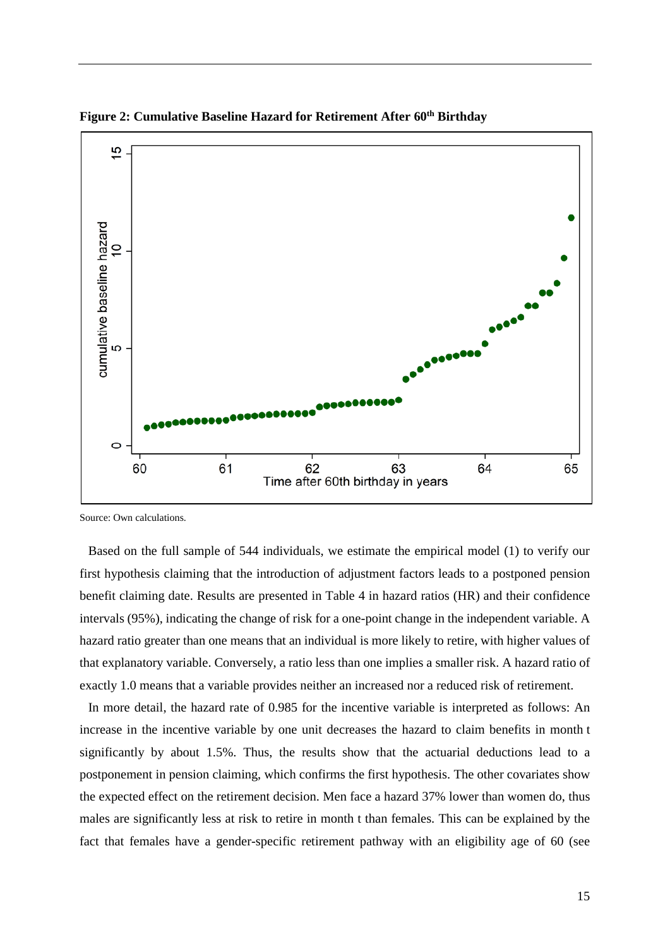

**Figure 2: Cumulative Baseline Hazard for Retirement After 60<sup>th</sup> Birthday** 

Source: Own calculations.

Based on the full sample of 544 individuals, we estimate the empirical model (1) to verify our first hypothesis claiming that the introduction of adjustment factors leads to a postponed pension benefit claiming date. Results are presented in Table 4 in hazard ratios (HR) and their confidence intervals (95%), indicating the change of risk for a one-point change in the independent variable. A hazard ratio greater than one means that an individual is more likely to retire, with higher values of that explanatory variable. Conversely, a ratio less than one implies a smaller risk. A hazard ratio of exactly 1.0 means that a variable provides neither an increased nor a reduced risk of retirement.

In more detail, the hazard rate of 0.985 for the incentive variable is interpreted as follows: An increase in the incentive variable by one unit decreases the hazard to claim benefits in month t significantly by about 1.5%. Thus, the results show that the actuarial deductions lead to a postponement in pension claiming, which confirms the first hypothesis. The other covariates show the expected effect on the retirement decision. Men face a hazard 37% lower than women do, thus males are significantly less at risk to retire in month t than females. This can be explained by the fact that females have a gender-specific retirement pathway with an eligibility age of 60 (see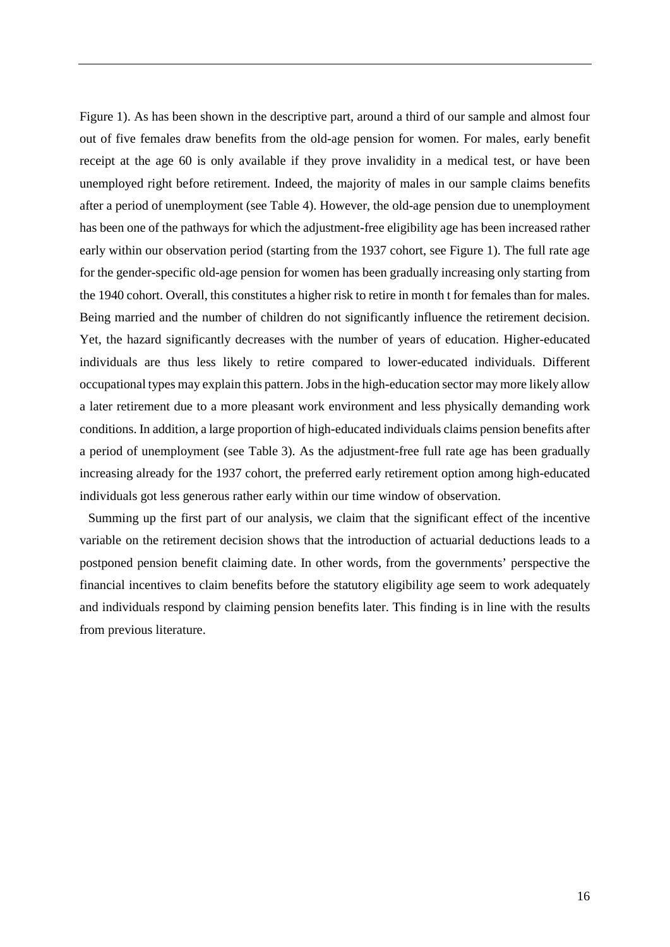Figure 1). As has been shown in the descriptive part, around a third of our sample and almost four out of five females draw benefits from the old-age pension for women. For males, early benefit receipt at the age 60 is only available if they prove invalidity in a medical test, or have been unemployed right before retirement. Indeed, the majority of males in our sample claims benefits after a period of unemployment (see Table 4). However, the old-age pension due to unemployment has been one of the pathways for which the adjustment-free eligibility age has been increased rather early within our observation period (starting from the 1937 cohort, see Figure 1). The full rate age for the gender-specific old-age pension for women has been gradually increasing only starting from the 1940 cohort. Overall, this constitutes a higher risk to retire in month t for females than for males. Being married and the number of children do not significantly influence the retirement decision. Yet, the hazard significantly decreases with the number of years of education. Higher-educated individuals are thus less likely to retire compared to lower-educated individuals. Different occupational types may explain this pattern. Jobs in the high-education sector may more likely allow a later retirement due to a more pleasant work environment and less physically demanding work conditions. In addition, a large proportion of high-educated individuals claims pension benefits after a period of unemployment (see Table 3). As the adjustment-free full rate age has been gradually increasing already for the 1937 cohort, the preferred early retirement option among high-educated individuals got less generous rather early within our time window of observation.

Summing up the first part of our analysis, we claim that the significant effect of the incentive variable on the retirement decision shows that the introduction of actuarial deductions leads to a postponed pension benefit claiming date. In other words, from the governments' perspective the financial incentives to claim benefits before the statutory eligibility age seem to work adequately and individuals respond by claiming pension benefits later. This finding is in line with the results from previous literature.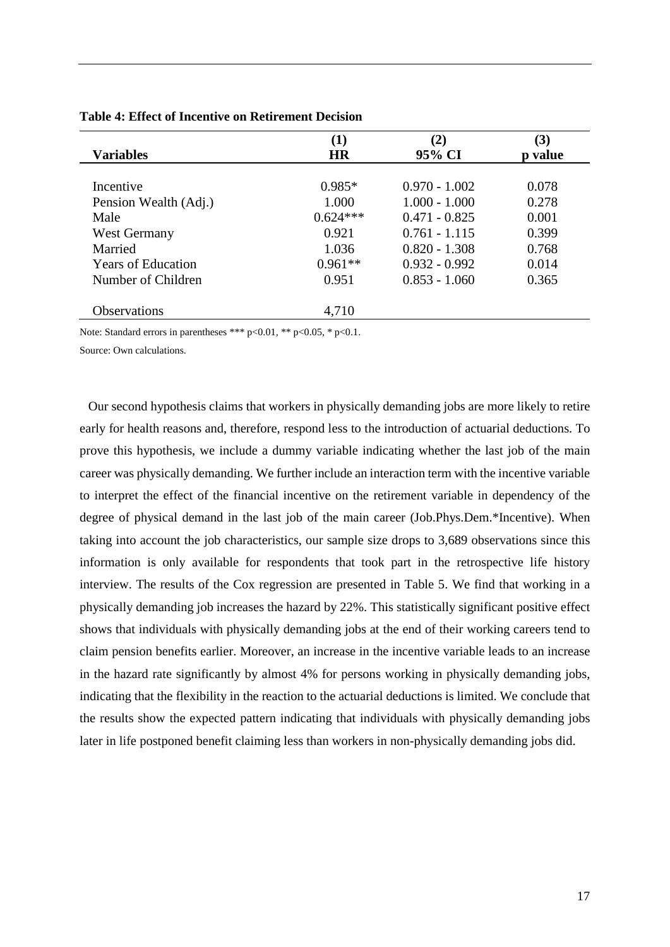| $\bf(1)$<br><b>Variables</b><br><b>HR</b> |                 | (3)<br>p value |
|-------------------------------------------|-----------------|----------------|
|                                           |                 |                |
| $0.985*$                                  | $0.970 - 1.002$ | 0.078          |
| 1.000                                     | $1.000 - 1.000$ | 0.278          |
| $0.624***$                                | $0.471 - 0.825$ | 0.001          |
| 0.921                                     | $0.761 - 1.115$ | 0.399          |
| 1.036                                     | $0.820 - 1.308$ | 0.768          |
| $0.961**$                                 | $0.932 - 0.992$ | 0.014          |
| 0.951                                     | $0.853 - 1.060$ | 0.365          |
|                                           |                 |                |
| 4,710                                     |                 |                |
|                                           |                 | (2)<br>95% CI  |

#### **Table 4: Effect of Incentive on Retirement Decision**

Note: Standard errors in parentheses \*\*\* p<0.01, \*\* p<0.05, \* p<0.1.

Source: Own calculations.

Our second hypothesis claims that workers in physically demanding jobs are more likely to retire early for health reasons and, therefore, respond less to the introduction of actuarial deductions. To prove this hypothesis, we include a dummy variable indicating whether the last job of the main career was physically demanding. We further include an interaction term with the incentive variable to interpret the effect of the financial incentive on the retirement variable in dependency of the degree of physical demand in the last job of the main career (Job.Phys.Dem.\*Incentive). When taking into account the job characteristics, our sample size drops to 3,689 observations since this information is only available for respondents that took part in the retrospective life history interview. The results of the Cox regression are presented in Table 5. We find that working in a physically demanding job increases the hazard by 22%. This statistically significant positive effect shows that individuals with physically demanding jobs at the end of their working careers tend to claim pension benefits earlier. Moreover, an increase in the incentive variable leads to an increase in the hazard rate significantly by almost 4% for persons working in physically demanding jobs, indicating that the flexibility in the reaction to the actuarial deductions is limited. We conclude that the results show the expected pattern indicating that individuals with physically demanding jobs later in life postponed benefit claiming less than workers in non-physically demanding jobs did.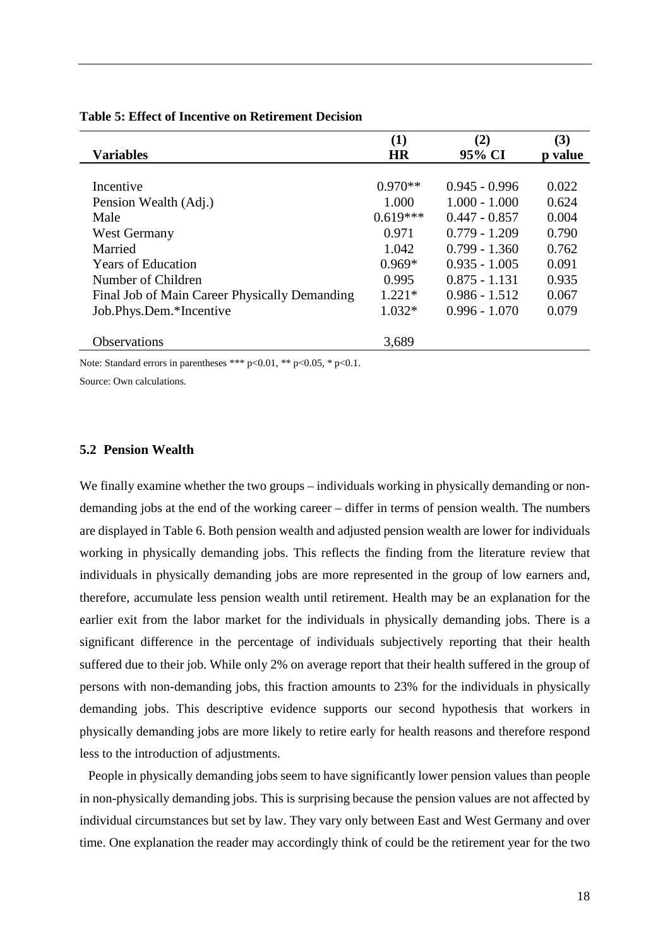|                                               | (1)        | (2)             | (3)     |
|-----------------------------------------------|------------|-----------------|---------|
| <b>Variables</b>                              | <b>HR</b>  | 95% CI          | p value |
|                                               |            |                 |         |
| Incentive                                     | $0.970**$  | $0.945 - 0.996$ | 0.022   |
| Pension Wealth (Adj.)                         | 1.000      | $1.000 - 1.000$ | 0.624   |
| Male                                          | $0.619***$ | $0.447 - 0.857$ | 0.004   |
| <b>West Germany</b>                           | 0.971      | $0.779 - 1.209$ | 0.790   |
| Married                                       | 1.042      | $0.799 - 1.360$ | 0.762   |
| <b>Years of Education</b>                     | $0.969*$   | $0.935 - 1.005$ | 0.091   |
| Number of Children                            | 0.995      | $0.875 - 1.131$ | 0.935   |
| Final Job of Main Career Physically Demanding | $1.221*$   | $0.986 - 1.512$ | 0.067   |
| Job.Phys.Dem.*Incentive                       | $1.032*$   | $0.996 - 1.070$ | 0.079   |
|                                               |            |                 |         |
| <b>Observations</b>                           | 3,689      |                 |         |
|                                               |            |                 |         |

#### **Table 5: Effect of Incentive on Retirement Decision**

Note: Standard errors in parentheses \*\*\* p<0.01, \*\* p<0.05, \* p<0.1.

Source: Own calculations.

#### **5.2 Pension Wealth**

We finally examine whether the two groups – individuals working in physically demanding or nondemanding jobs at the end of the working career – differ in terms of pension wealth. The numbers are displayed in Table 6. Both pension wealth and adjusted pension wealth are lower for individuals working in physically demanding jobs. This reflects the finding from the literature review that individuals in physically demanding jobs are more represented in the group of low earners and, therefore, accumulate less pension wealth until retirement. Health may be an explanation for the earlier exit from the labor market for the individuals in physically demanding jobs. There is a significant difference in the percentage of individuals subjectively reporting that their health suffered due to their job. While only 2% on average report that their health suffered in the group of persons with non-demanding jobs, this fraction amounts to 23% for the individuals in physically demanding jobs. This descriptive evidence supports our second hypothesis that workers in physically demanding jobs are more likely to retire early for health reasons and therefore respond less to the introduction of adjustments.

People in physically demanding jobs seem to have significantly lower pension values than people in non-physically demanding jobs. This is surprising because the pension values are not affected by individual circumstances but set by law. They vary only between East and West Germany and over time. One explanation the reader may accordingly think of could be the retirement year for the two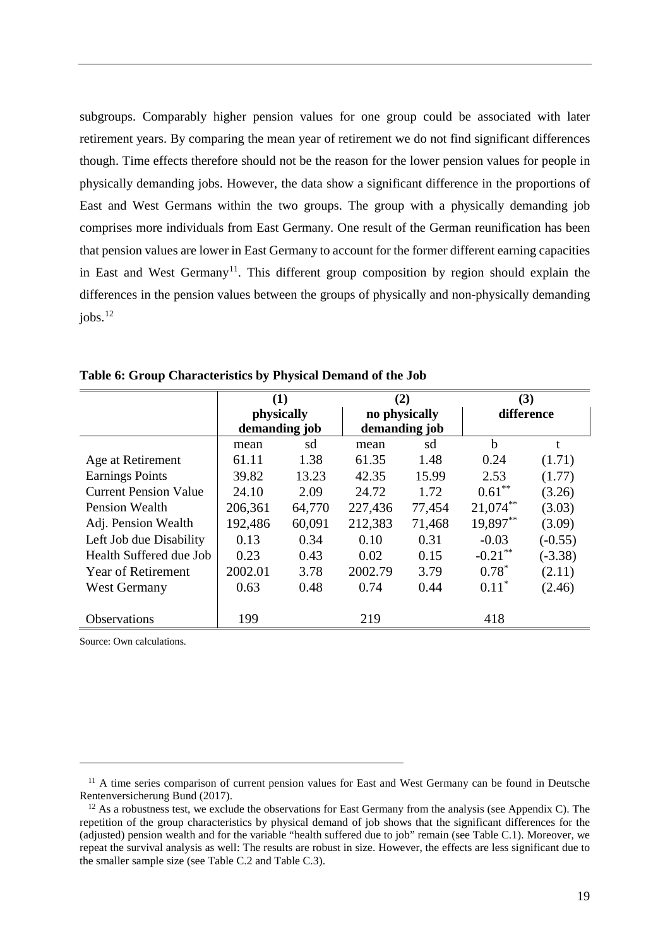subgroups. Comparably higher pension values for one group could be associated with later retirement years. By comparing the mean year of retirement we do not find significant differences though. Time effects therefore should not be the reason for the lower pension values for people in physically demanding jobs. However, the data show a significant difference in the proportions of East and West Germans within the two groups. The group with a physically demanding job comprises more individuals from East Germany. One result of the German reunification has been that pension values are lower in East Germany to account for the former different earning capacities in East and West Germany<sup>11</sup>. This different group composition by region should explain the differences in the pension values between the groups of physically and non-physically demanding iobs. $^{12}$  $^{12}$  $^{12}$ 

|                              | (1)           |        |               | (2)           |             | (3)        |
|------------------------------|---------------|--------|---------------|---------------|-------------|------------|
|                              | physically    |        |               | no physically |             | difference |
|                              | demanding job |        | demanding job |               |             |            |
|                              | mean          | sd     | mean          | sd            | $\mathbf b$ | t          |
| Age at Retirement            | 61.11         | 1.38   | 61.35         | 1.48          | 0.24        | (1.71)     |
| <b>Earnings Points</b>       | 39.82         | 13.23  | 42.35         | 15.99         | 2.53        | (1.77)     |
| <b>Current Pension Value</b> | 24.10         | 2.09   | 24.72         | 1.72          | $0.61***$   | (3.26)     |
| <b>Pension Wealth</b>        | 206,361       | 64,770 | 227,436       | 77,454        | $21,074***$ | (3.03)     |
| Adj. Pension Wealth          | 192,486       | 60,091 | 212,383       | 71,468        | 19,897**    | (3.09)     |
| Left Job due Disability      | 0.13          | 0.34   | 0.10          | 0.31          | $-0.03$     | $(-0.55)$  |
| Health Suffered due Job      | 0.23          | 0.43   | 0.02          | 0.15          | $-0.21$ **  | $(-3.38)$  |
| Year of Retirement           | 2002.01       | 3.78   | 2002.79       | 3.79          | $0.78^*$    | (2.11)     |
| <b>West Germany</b>          | 0.63          | 0.48   | 0.74          | 0.44          | $0.11*$     | (2.46)     |
|                              |               |        |               |               |             |            |
| Observations                 | 199           |        | 219           |               | 418         |            |

**Table 6: Group Characteristics by Physical Demand of the Job**

Source: Own calculations.

l

<span id="page-21-0"></span><sup>&</sup>lt;sup>11</sup> A time series comparison of current pension values for East and West Germany can be found in Deutsche Rentenversicherung Bund (2017).

<span id="page-21-1"></span> $12$  As a robustness test, we exclude the observations for East Germany from the analysis (see Appendix C). The repetition of the group characteristics by physical demand of job shows that the significant differences for the (adjusted) pension wealth and for the variable "health suffered due to job" remain (see Table C.1). Moreover, we repeat the survival analysis as well: The results are robust in size. However, the effects are less significant due to the smaller sample size (see Table C.2 and Table C.3).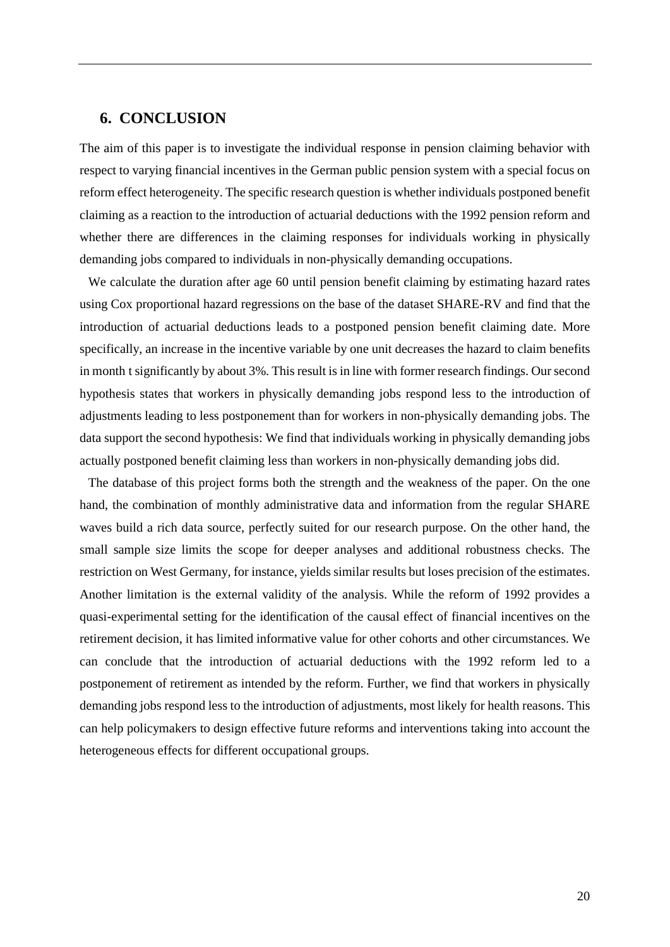#### **6. CONCLUSION**

The aim of this paper is to investigate the individual response in pension claiming behavior with respect to varying financial incentives in the German public pension system with a special focus on reform effect heterogeneity. The specific research question is whether individuals postponed benefit claiming as a reaction to the introduction of actuarial deductions with the 1992 pension reform and whether there are differences in the claiming responses for individuals working in physically demanding jobs compared to individuals in non-physically demanding occupations.

We calculate the duration after age 60 until pension benefit claiming by estimating hazard rates using Cox proportional hazard regressions on the base of the dataset SHARE-RV and find that the introduction of actuarial deductions leads to a postponed pension benefit claiming date. More specifically, an increase in the incentive variable by one unit decreases the hazard to claim benefits in month t significantly by about 3%. This result is in line with former research findings. Our second hypothesis states that workers in physically demanding jobs respond less to the introduction of adjustments leading to less postponement than for workers in non-physically demanding jobs. The data support the second hypothesis: We find that individuals working in physically demanding jobs actually postponed benefit claiming less than workers in non-physically demanding jobs did.

The database of this project forms both the strength and the weakness of the paper. On the one hand, the combination of monthly administrative data and information from the regular SHARE waves build a rich data source, perfectly suited for our research purpose. On the other hand, the small sample size limits the scope for deeper analyses and additional robustness checks. The restriction on West Germany, for instance, yields similar results but loses precision of the estimates. Another limitation is the external validity of the analysis. While the reform of 1992 provides a quasi-experimental setting for the identification of the causal effect of financial incentives on the retirement decision, it has limited informative value for other cohorts and other circumstances. We can conclude that the introduction of actuarial deductions with the 1992 reform led to a postponement of retirement as intended by the reform. Further, we find that workers in physically demanding jobs respond less to the introduction of adjustments, most likely for health reasons. This can help policymakers to design effective future reforms and interventions taking into account the heterogeneous effects for different occupational groups.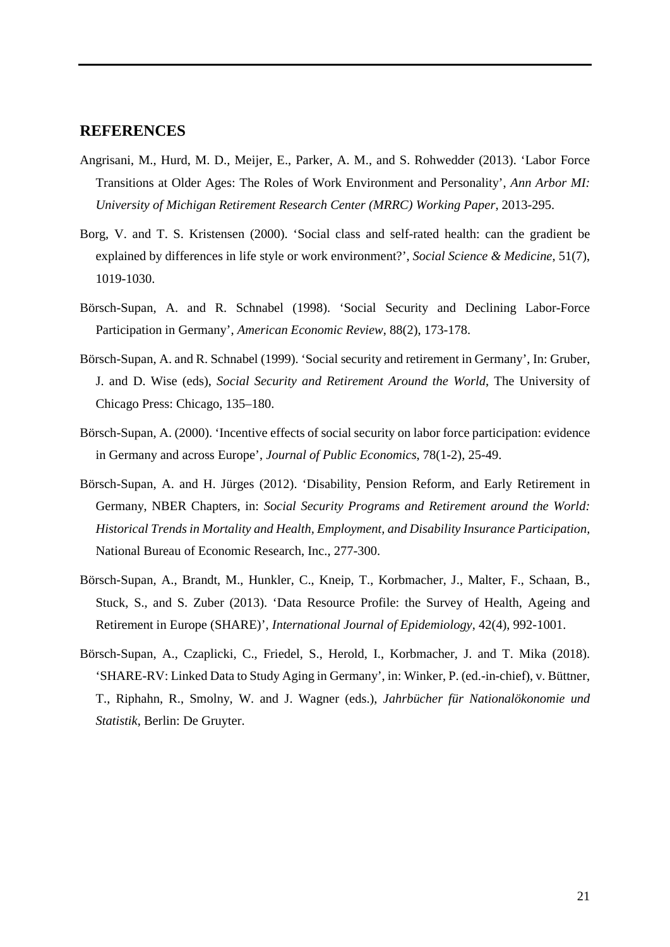#### **REFERENCES**

- Angrisani, M., Hurd, M. D., Meijer, E., Parker, A. M., and S. Rohwedder (2013). 'Labor Force Transitions at Older Ages: The Roles of Work Environment and Personality', *Ann Arbor MI: University of Michigan Retirement Research Center (MRRC) Working Paper*, 2013-295.
- Borg, V. and T. S. Kristensen (2000). 'Social class and self-rated health: can the gradient be explained by differences in life style or work environment?', *Social Science & Medicine*, 51(7), 1019-1030.
- Börsch-Supan, A. and R. Schnabel (1998). 'Social Security and Declining Labor-Force Participation in Germany', *American Economic Review*, 88(2), 173-178.
- Börsch-Supan, A. and R. Schnabel (1999). 'Social security and retirement in Germany', In: Gruber, J. and D. Wise (eds), *Social Security and Retirement Around the World*, The University of Chicago Press: Chicago, 135–180.
- Börsch-Supan, A. (2000). 'Incentive effects of social security on labor force participation: evidence in Germany and across Europe', *Journal of Public Economics*, 78(1-2), 25-49.
- Börsch-Supan, A. and H. Jürges (2012). ['Disability, Pension Reform, and Early Retirement in](https://ideas.repec.org/h/nbr/nberch/12388.html)  [Germany,](https://ideas.repec.org/h/nbr/nberch/12388.html) [NBER Chapters,](https://ideas.repec.org/s/nbr/nberch.html) in: *[Social Security Programs and Retirement around the World:](https://ideas.repec.org/b/nbr/nberbk/wise11-1.html)  [Historical Trends in Mortality and Health, Employment, and Disability Insurance Participation](https://ideas.repec.org/b/nbr/nberbk/wise11-1.html),* National Bureau of Economic Research, Inc., 277-300.
- Börsch-Supan, A., Brandt, M., Hunkler, C., Kneip, T., Korbmacher, J., Malter, F., Schaan, B., Stuck, S., and S. Zuber (2013). 'Data Resource Profile: the Survey of Health, Ageing and Retirement in Europe (SHARE)', *International Journal of Epidemiology*, 42(4), 992-1001.
- Börsch-Supan, A., Czaplicki, C., Friedel, S., Herold, I., Korbmacher, J. and T. Mika (2018). 'SHARE-RV: Linked Data to Study Aging in Germany', in: Winker, P. (ed.-in-chief), v. Büttner, T., Riphahn, R., Smolny, W. and J. Wagner (eds.), *Jahrbücher für Nationalökonomie und Statistik*, Berlin: De Gruyter.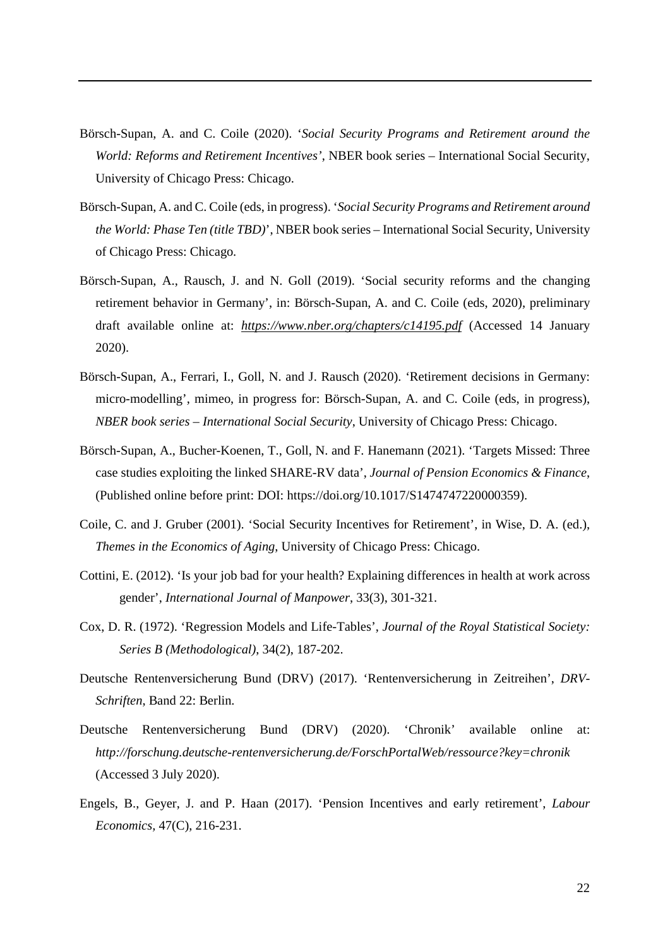- Börsch-Supan, A. and C. Coile (2020). '*Social Security Programs and Retirement around the World: Reforms and Retirement Incentives'*, NBER book series – International Social Security, University of Chicago Press: Chicago.
- Börsch-Supan, A. and C. Coile (eds, in progress). '*Social Security Programs and Retirement around the World: Phase Ten (title TBD)*', NBER book series – International Social Security, University of Chicago Press: Chicago.
- Börsch-Supan, A., Rausch, J. and N. Goll (2019). 'Social security reforms and the changing retirement behavior in Germany', in: Börsch-Supan, A. and C. Coile (eds, 2020), preliminary draft available online at: *<https://www.nber.org/chapters/c14195.pdf>* (Accessed 14 January 2020).
- Börsch-Supan, A., Ferrari, I., Goll, N. and J. Rausch (2020). 'Retirement decisions in Germany: micro-modelling', mimeo, in progress for: Börsch-Supan, A. and C. Coile (eds, in progress), *NBER book series – International Social Security*, University of Chicago Press: Chicago.
- Börsch-Supan, A., Bucher-Koenen, T., Goll, N. and F. Hanemann (2021). 'Targets Missed: Three case studies exploiting the linked SHARE-RV data', *Journal of Pension Economics & Finance*, (Published online before print: DOI: https://doi.org/10.1017/S1474747220000359).
- Coile, C. and J. Gruber (2001). 'Social Security Incentives for Retirement', in Wise, D. A. (ed.), *Themes in the Economics of Aging*, University of Chicago Press: Chicago.
- Cottini, E. (2012). 'Is your job bad for your health? Explaining differences in health at work across gender', *International Journal of Manpower*, 33(3), 301-321.
- Cox, D. R. (1972). 'Regression Models and Life-Tables', *Journal of the Royal Statistical Society: Series B (Methodological)*, 34(2), 187-202.
- Deutsche Rentenversicherung Bund (DRV) (2017). 'Rentenversicherung in Zeitreihen', *DRV-Schriften*, Band 22: Berlin.
- Deutsche Rentenversicherung Bund (DRV) (2020). 'Chronik' available online at: *http://forschung.deutsche-rentenversicherung.de/ForschPortalWeb/ressource?key=chronik* (Accessed 3 July 2020).
- Engels, B., Geyer, J. and P. Haan (2017). 'Pension Incentives and early retirement', *Labour Economics,* 47(C), 216-231.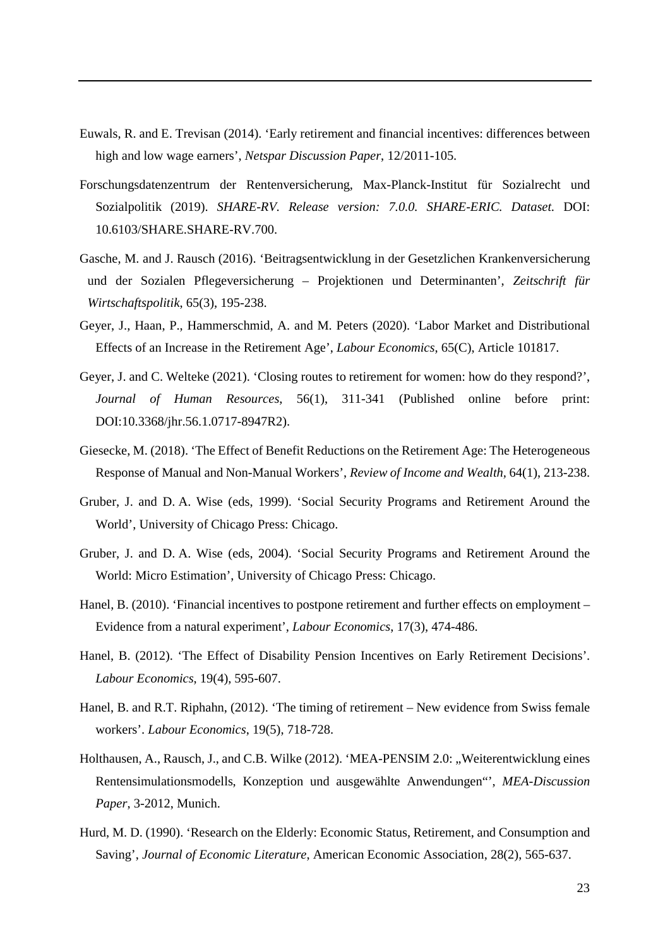- Euwals, R. and E. Trevisan (2014). ['Early retirement and financial incentives: differences between](https://ssrn.com/abstract=1976313)  [high and low wage earners'](https://ssrn.com/abstract=1976313), *Netspar Discussion Paper*, 12/2011-105.
- Forschungsdatenzentrum der Rentenversicherung, Max-Planck-Institut für Sozialrecht und Sozialpolitik (2019). *SHARE-RV. Release version: 7.0.0. SHARE-ERIC. Dataset.* DOI: 10.6103/SHARE.SHARE-RV.700.
- Gasche, M. and J. Rausch (2016). 'Beitragsentwicklung in der Gesetzlichen Krankenversicherung und der Sozialen Pflegeversicherung – Projektionen und Determinanten', *Zeitschrift für Wirtschaftspolitik*, 65(3), 195-238.
- Geyer, J., Haan, P., Hammerschmid, A. and M. Peters (2020). 'Labor Market and Distributional Effects of an Increase in the Retirement Age', *Labour Economics*, 65(C), Article 101817.
- Geyer, J. and C. Welteke (2021). 'Closing routes to retirement for women: how do they respond?', *Journal of Human Resources*, 56(1), 311-341 (Published online before print: DOI:10.3368/jhr.56.1.0717-8947R2).
- Giesecke, M. (2018). 'The Effect of Benefit Reductions on the Retirement Age: The Heterogeneous Response of Manual and Non-Manual Workers', *Review of Income and Wealth,* 64(1), 213-238.
- Gruber, J. and D. A. Wise (eds, 1999). 'Social Security Programs and Retirement Around the World', University of Chicago Press: Chicago.
- Gruber, J. and D. A. Wise (eds, 2004). 'Social Security Programs and Retirement Around the World: Micro Estimation', University of Chicago Press: Chicago.
- Hanel, B. (2010). 'Financial incentives to postpone retirement and further effects on employment Evidence from a natural experiment', *Labour Economics*, 17(3), 474-486.
- Hanel, B. (2012). 'The Effect of Disability Pension Incentives on Early Retirement Decisions'. *Labour Economics*, 19(4), 595-607.
- Hanel, B. and R.T. Riphahn, (2012). 'The timing of retirement New evidence from Swiss female workers'. *Labour Economics*, 19(5), 718-728.
- Holthausen, A., Rausch, J., and C.B. Wilke (2012). 'MEA-PENSIM 2.0: "Weiterentwicklung eines Rentensimulationsmodells, Konzeption und ausgewählte Anwendungen"', *MEA-Discussion Paper*, 3-2012, Munich.
- Hurd, M. D. (1990). ['Research on the Elderly: Economic Status, Retirement, and Consumption and](https://ideas.repec.org/a/aea/jeclit/v28y1990i2p565-637.html)  [Saving'](https://ideas.repec.org/a/aea/jeclit/v28y1990i2p565-637.html), *[Journal of Economic Literature](https://ideas.repec.org/s/aea/jeclit.html)*, American Economic Association, 28(2), 565-637.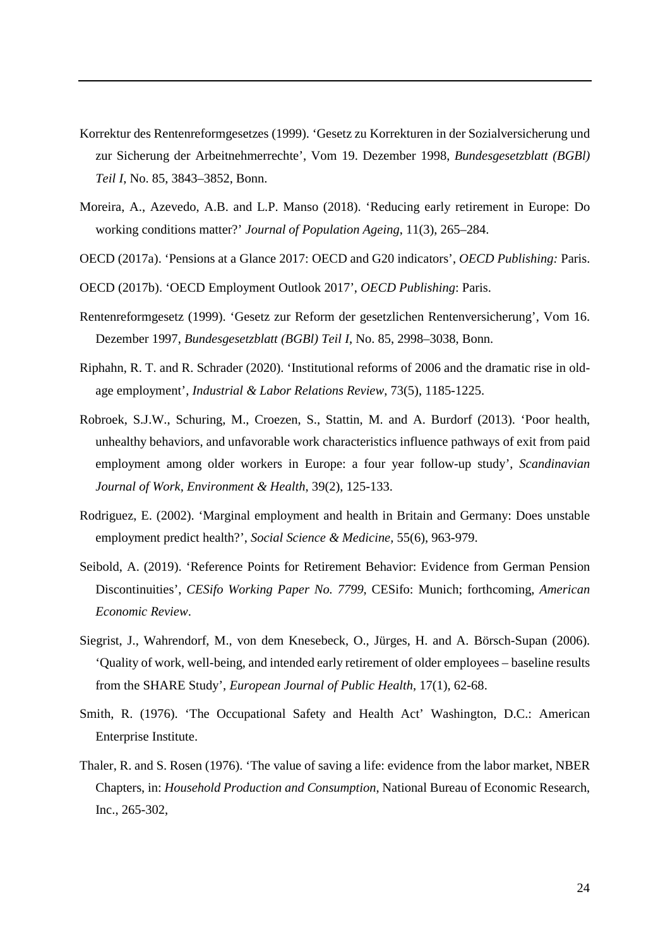- Korrektur des Rentenreformgesetzes (1999). 'Gesetz zu Korrekturen in der Sozialversicherung und zur Sicherung der Arbeitnehmerrechte', Vom 19. Dezember 1998, *Bundesgesetzblatt (BGBl) Teil I*, No. 85, 3843–3852, Bonn.
- Moreira, A., Azevedo, A.B. and L.P. Manso (2018). 'Reducing early retirement in Europe: Do working conditions matter?' *[Journal of Population Ageing](https://link.springer.com/journal/12062)*, 11(3), 265–284.
- OECD (2017a). 'Pensions at a Glance 2017: OECD and G20 indicators', *OECD Publishing:* Paris.
- OECD (2017b). 'OECD Employment Outlook 2017', *OECD Publishing*: Paris.
- Rentenreformgesetz (1999). 'Gesetz zur Reform der gesetzlichen Rentenversicherung', Vom 16. Dezember 1997, *Bundesgesetzblatt (BGBl) Teil I*, No. 85, 2998–3038, Bonn.
- Riphahn, R. T. and R. Schrader (2020). 'Institutional reforms of 2006 and the dramatic rise in oldage employment', *Industrial & Labor Relations Review*, 73(5), 1185-1225.
- Robroek, S.J.W., Schuring, M., Croezen, S., Stattin, M. and A. Burdorf (2013). 'Poor health, unhealthy behaviors, and unfavorable work characteristics influence pathways of exit from paid employment among older workers in Europe: a four year follow-up study', *Scandinavian Journal of Work, Environment & Health*, 39(2), 125-133.
- Rodriguez, E. (2002). 'Marginal employment and health in Britain and Germany: Does unstable employment predict health?', *Social Science & Medicine,* 55(6), 963-979.
- Seibold, A. (2019). 'Reference Points for Retirement Behavior: Evidence from German Pension Discontinuities', *CESifo Working Paper No. 7799*, CESifo: Munich; forthcoming, *American Economic Review*.
- Siegrist, J., Wahrendorf, M., von dem Knesebeck, O., Jürges, H. and A. Börsch-Supan (2006). 'Quality of work, well-being, and intended early retirement of older employees – baseline results from the SHARE Study', *European Journal of Public Health*, 17(1), 62-68.
- Smith, R. (1976). 'The Occupational Safety and Health Act' Washington, D.C.: American Enterprise Institute.
- Thaler, R. and S. Rosen (1976). ['The value of saving a life: evidence from the labor market,](https://ideas.repec.org/h/nbr/nberch/3964.html) [NBER](https://ideas.repec.org/s/nbr/nberch.html)  [Chapters,](https://ideas.repec.org/s/nbr/nberch.html) in: *[Household Production and Consumption](https://ideas.repec.org/b/nbr/nberbk/terl76-1.html)*, National Bureau of Economic Research, Inc., 265-302,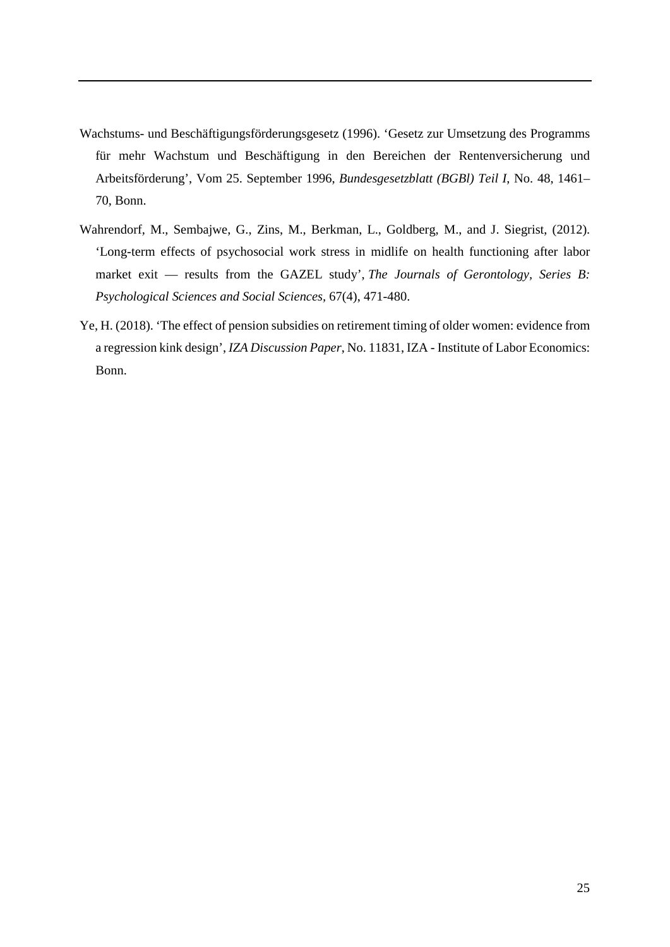- Wachstums- und Beschäftigungsförderungsgesetz (1996). 'Gesetz zur Umsetzung des Programms für mehr Wachstum und Beschäftigung in den Bereichen der Rentenversicherung und Arbeitsförderung', Vom 25. September 1996, *Bundesgesetzblatt (BGBl) Teil I*, No. 48, 1461– 70, Bonn.
- Wahrendorf, M., Sembajwe, G., Zins, M., Berkman, L., Goldberg, M., and J. Siegrist, (2012). 'Long-term effects of psychosocial work stress in midlife on health functioning after labor market exit — results from the GAZEL study', *The Journals of Gerontology, Series B: Psychological Sciences and Social Sciences,* 67(4), 471-480.
- Ye, H. (2018). 'The effect of pension subsidies on retirement timing of older women: evidence from a regression kink design', *IZA Discussion Paper*, No. 11831, IZA - Institute of Labor Economics: Bonn.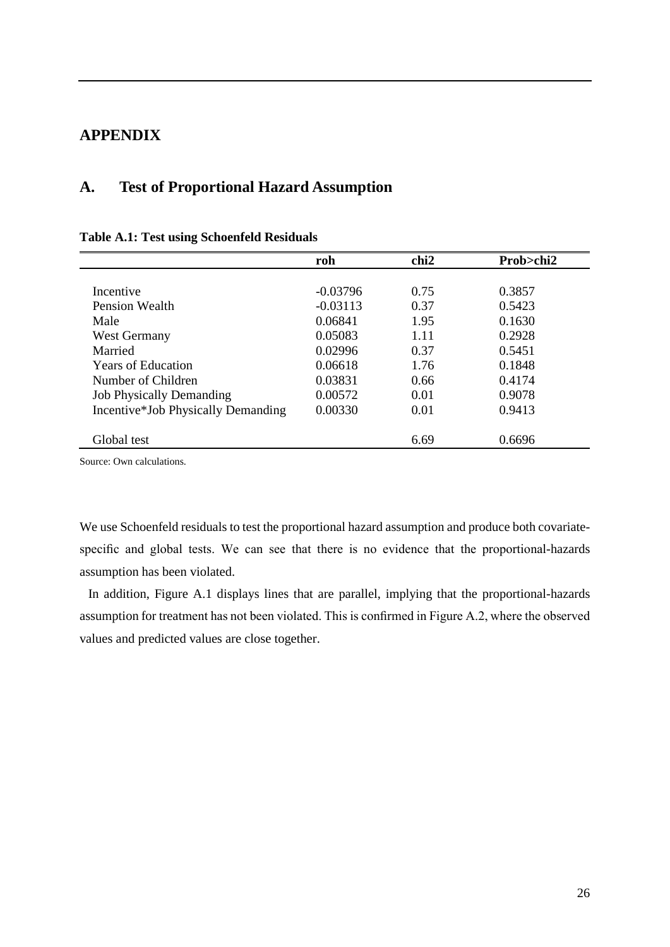#### **APPENDIX**

#### **A. Test of Proportional Hazard Assumption**

## **roh chi2 Prob>chi2** Incentive -0.03796 0.75 0.3857 Pension Wealth -0.03113 0.37 0.5423 Male 0.06841 1.95 0.1630 West Germany 0.05083 1.11 0.2928 Married 0.02996 0.37 0.5451 Years of Education 0.06618 1.76 0.1848 Number of Children 0.03831 0.66 0.4174 Job Physically Demanding 0.00572 0.01 0.9078 Incentive\*Job Physically Demanding 0.00330 0.01 0.9413 Global test 6.69 0.6696

#### **Table A.1: Test using Schoenfeld Residuals**

Source: Own calculations.

We use Schoenfeld residuals to test the proportional hazard assumption and produce both covariatespecific and global tests. We can see that there is no evidence that the proportional-hazards assumption has been violated.

In addition, Figure A.1 displays lines that are parallel, implying that the proportional-hazards assumption for treatment has not been violated. This is confirmed in Figure A.2, where the observed values and predicted values are close together.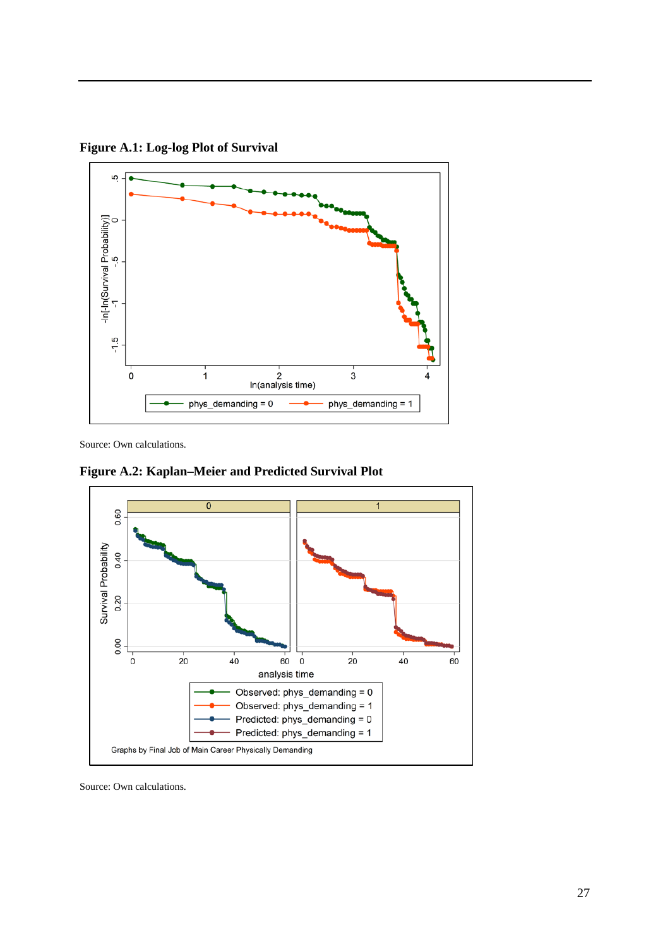

**Figure A.1: Log-log Plot of Survival**

Source: Own calculations.

**Figure A.2: Kaplan–Meier and Predicted Survival Plot**

phys\_demanding = 0



phys\_demanding = 1

÷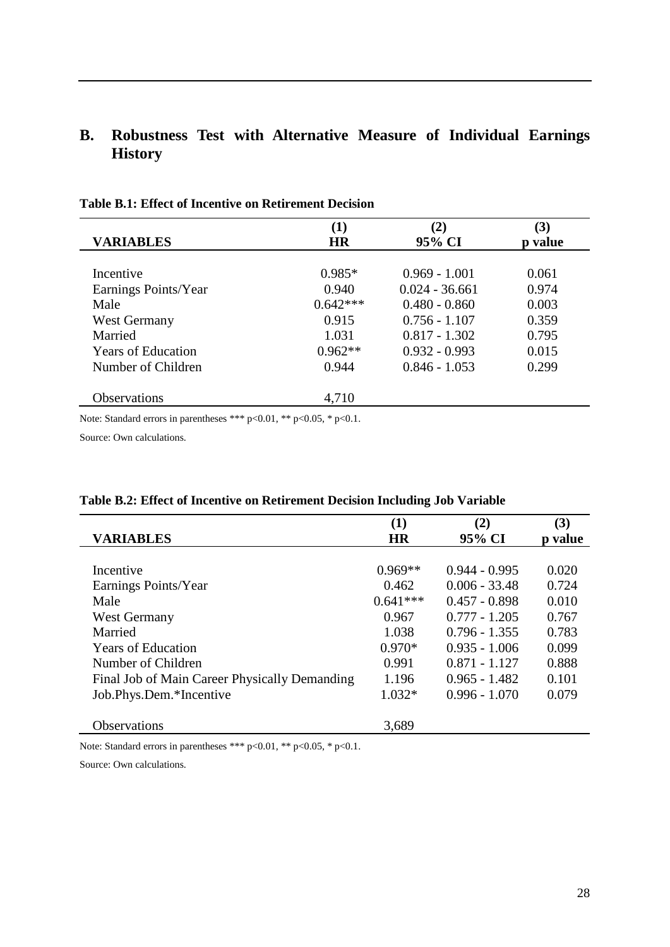# **B. Robustness Test with Alternative Measure of Individual Earnings History**

| <b>VARIABLES</b>          | (1)<br><b>HR</b> | $\bf(2)$<br>95% CI | (3)<br>p value |  |
|---------------------------|------------------|--------------------|----------------|--|
|                           |                  |                    |                |  |
| Incentive                 | $0.985*$         | $0.969 - 1.001$    | 0.061          |  |
| Earnings Points/Year      | 0.940            | $0.024 - 36.661$   | 0.974          |  |
| Male                      | $0.642***$       | $0.480 - 0.860$    | 0.003          |  |
| <b>West Germany</b>       | 0.915            | $0.756 - 1.107$    | 0.359          |  |
| Married                   | 1.031            | $0.817 - 1.302$    | 0.795          |  |
| <b>Years of Education</b> | $0.962**$        | $0.932 - 0.993$    | 0.015          |  |
| Number of Children        | 0.944            | $0.846 - 1.053$    | 0.299          |  |
| <b>Observations</b>       | 4,710            |                    |                |  |

#### **Table B.1: Effect of Incentive on Retirement Decision**

Note: Standard errors in parentheses \*\*\* p<0.01, \*\* p<0.05, \* p<0.1.

Source: Own calculations.

|                                               | (1)        | (2)             | (3)     |
|-----------------------------------------------|------------|-----------------|---------|
| <b>VARIABLES</b>                              | <b>HR</b>  | 95% CI          | p value |
|                                               |            |                 |         |
| Incentive                                     | $0.969**$  | $0.944 - 0.995$ | 0.020   |
| Earnings Points/Year                          | 0.462      | $0.006 - 33.48$ | 0.724   |
| Male                                          | $0.641***$ | $0.457 - 0.898$ | 0.010   |
| West Germany                                  | 0.967      | $0.777 - 1.205$ | 0.767   |
| Married                                       | 1.038      | $0.796 - 1.355$ | 0.783   |
| <b>Years of Education</b>                     | $0.970*$   | $0.935 - 1.006$ | 0.099   |
| Number of Children                            | 0.991      | $0.871 - 1.127$ | 0.888   |
| Final Job of Main Career Physically Demanding | 1.196      | $0.965 - 1.482$ | 0.101   |
| Job.Phys.Dem.*Incentive                       | $1.032*$   | $0.996 - 1.070$ | 0.079   |
|                                               |            |                 |         |
| <b>Observations</b>                           | 3,689      |                 |         |

#### **Table B.2: Effect of Incentive on Retirement Decision Including Job Variable**

Note: Standard errors in parentheses \*\*\* p<0.01, \*\* p<0.05, \* p<0.1.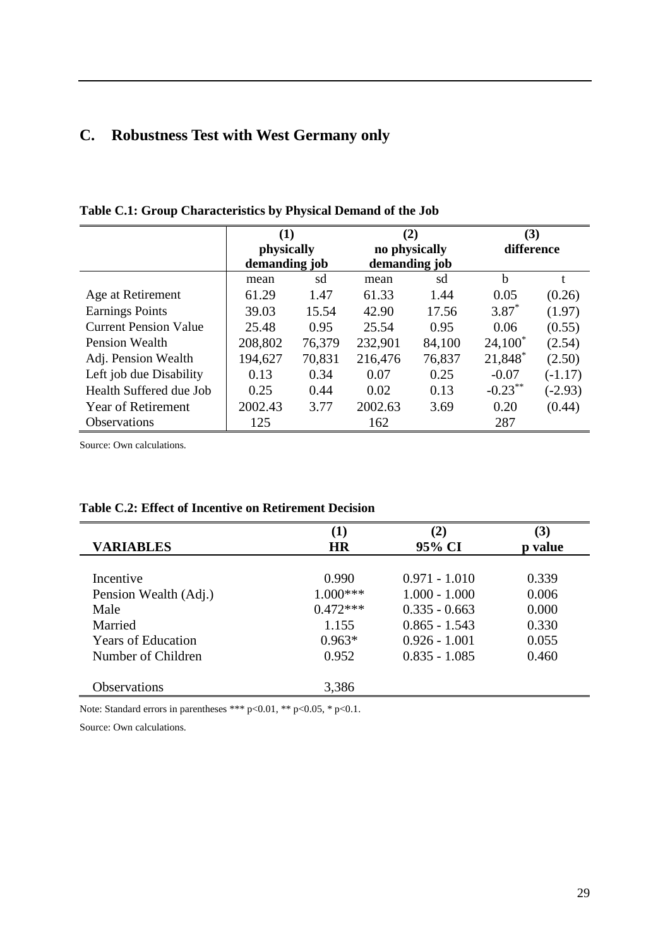# **C. Robustness Test with West Germany only**

|                              | (1)<br>physically<br>demanding job |        | (2)<br>no physically<br>demanding job |        | (3)<br>difference |           |
|------------------------------|------------------------------------|--------|---------------------------------------|--------|-------------------|-----------|
|                              | mean                               | sd     | mean                                  | sd     | b                 |           |
| Age at Retirement            | 61.29                              | 1.47   | 61.33                                 | 1.44   | 0.05              | (0.26)    |
| <b>Earnings Points</b>       | 39.03                              | 15.54  | 42.90                                 | 17.56  | $3.87*$           | (1.97)    |
| <b>Current Pension Value</b> | 25.48                              | 0.95   | 25.54                                 | 0.95   | 0.06              | (0.55)    |
| <b>Pension Wealth</b>        | 208,802                            | 76,379 | 232,901                               | 84,100 | $24,100^*$        | (2.54)    |
| Adj. Pension Wealth          | 194,627                            | 70,831 | 216,476                               | 76,837 | 21,848*           | (2.50)    |
| Left job due Disability      | 0.13                               | 0.34   | 0.07                                  | 0.25   | $-0.07$           | $(-1.17)$ |
| Health Suffered due Job      | 0.25                               | 0.44   | 0.02                                  | 0.13   | $-0.23***$        | $(-2.93)$ |
| <b>Year of Retirement</b>    | 2002.43                            | 3.77   | 2002.63                               | 3.69   | 0.20              | (0.44)    |
| Observations                 | 125                                |        | 162                                   |        | 287               |           |

**Table C.1: Group Characteristics by Physical Demand of the Job**

Source: Own calculations.

| <b>VARIABLES</b>          | $\bf(1)$<br><b>HR</b> | $\bf (2)$<br>95% CI | (3)<br>p value |
|---------------------------|-----------------------|---------------------|----------------|
|                           |                       |                     |                |
| Incentive                 | 0.990                 | $0.971 - 1.010$     | 0.339          |
| Pension Wealth (Adj.)     | $1.000***$            | $1.000 - 1.000$     | 0.006          |
| Male                      | $0.472***$            | $0.335 - 0.663$     | 0.000          |
| Married                   | 1.155                 | $0.865 - 1.543$     | 0.330          |
| <b>Years of Education</b> | $0.963*$              | $0.926 - 1.001$     | 0.055          |
| Number of Children        | 0.952                 | $0.835 - 1.085$     | 0.460          |
|                           |                       |                     |                |
| <b>Observations</b>       | 3,386                 |                     |                |

#### **Table C.2: Effect of Incentive on Retirement Decision**

Note: Standard errors in parentheses \*\*\* p<0.01, \*\* p<0.05, \* p<0.1.